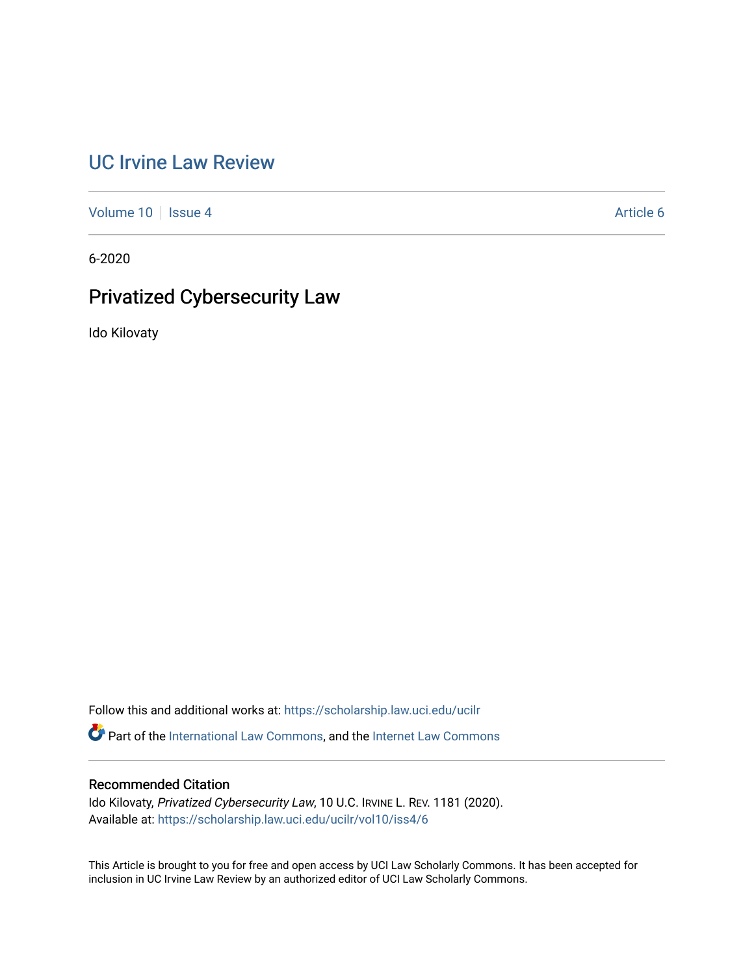# [UC Irvine Law Review](https://scholarship.law.uci.edu/ucilr)

[Volume 10](https://scholarship.law.uci.edu/ucilr/vol10) | [Issue 4](https://scholarship.law.uci.edu/ucilr/vol10/iss4) Article 6

6-2020

# Privatized Cybersecurity Law

Ido Kilovaty

Follow this and additional works at: [https://scholarship.law.uci.edu/ucilr](https://scholarship.law.uci.edu/ucilr?utm_source=scholarship.law.uci.edu%2Fucilr%2Fvol10%2Fiss4%2F6&utm_medium=PDF&utm_campaign=PDFCoverPages) Part of the [International Law Commons,](http://network.bepress.com/hgg/discipline/609?utm_source=scholarship.law.uci.edu%2Fucilr%2Fvol10%2Fiss4%2F6&utm_medium=PDF&utm_campaign=PDFCoverPages) and the [Internet Law Commons](http://network.bepress.com/hgg/discipline/892?utm_source=scholarship.law.uci.edu%2Fucilr%2Fvol10%2Fiss4%2F6&utm_medium=PDF&utm_campaign=PDFCoverPages)

# Recommended Citation

Ido Kilovaty, Privatized Cybersecurity Law, 10 U.C. IRVINE L. REV. 1181 (2020). Available at: [https://scholarship.law.uci.edu/ucilr/vol10/iss4/6](https://scholarship.law.uci.edu/ucilr/vol10/iss4/6?utm_source=scholarship.law.uci.edu%2Fucilr%2Fvol10%2Fiss4%2F6&utm_medium=PDF&utm_campaign=PDFCoverPages) 

This Article is brought to you for free and open access by UCI Law Scholarly Commons. It has been accepted for inclusion in UC Irvine Law Review by an authorized editor of UCI Law Scholarly Commons.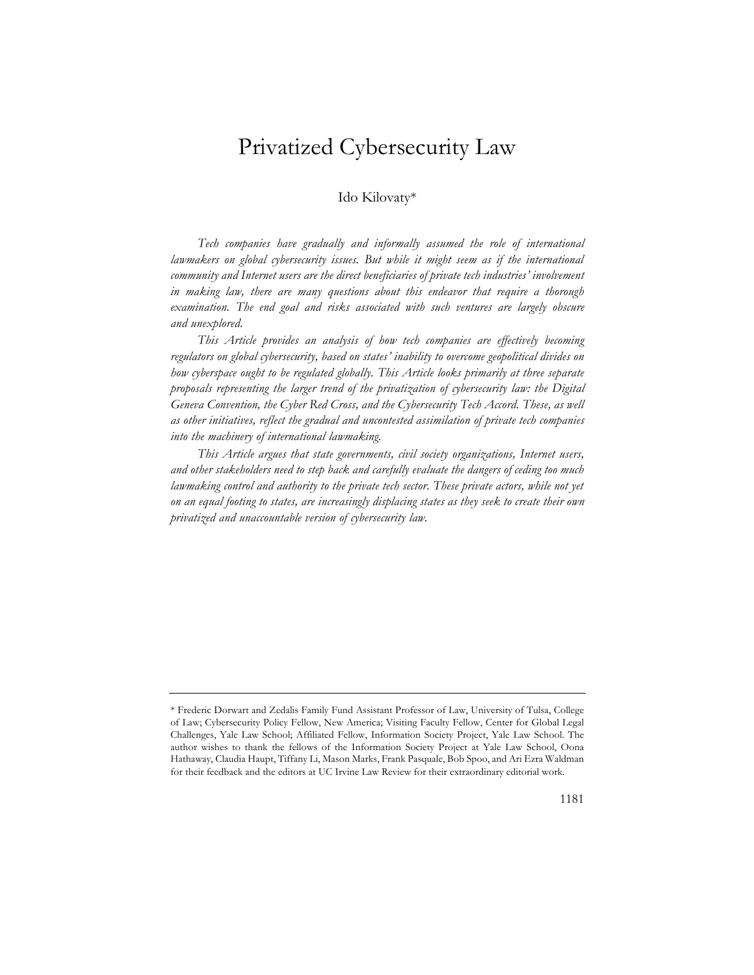# Privatized Cybersecurity Law

# Ido Kilovaty\*

Tech companies have gradually and informally assumed the role of international *lawmakers on global cybersecurity issues. But while it might seem as if the international community and Internet users are the direct beneficiaries of private tech industries' involvement in making law, there are many questions about this endeavor that require a thorough*  examination. The end goal and risks associated with such ventures are largely obscure *and unexplored.*

*This Article provides an analysis of how tech companies are effectively becoming regulators on global cybersecurity, based on states' inability to overcome geopolitical divides on how cyberspace ought to be regulated globally. This Article looks primarily at three separate proposals representing the larger trend of the privatization of cybersecurity law: the Digital Geneva Convention, the Cyber Red Cross, and the Cybersecurity Tech Accord. These, as well as other initiatives, reflect the gradual and uncontested assimilation of private tech companies into the machinery of international lawmaking.*

*This Article argues that state governments, civil society organizations, Internet users, and other stakeholders need to step back and carefully evaluate the dangers of ceding too much*  lawmaking control and authority to the private tech sector. These private actors, while not yet *on an equal footing to states, are increasingly displacing states as they seek to create their own privatized and unaccountable version of cybersecurity law.*

<sup>\*</sup> Frederic Dorwart and Zedalis Family Fund Assistant Professor of Law, University of Tulsa, College of Law; Cybersecurity Policy Fellow, New America; Visiting Faculty Fellow, Center for Global Legal Challenges, Yale Law School; Affiliated Fellow, Information Society Project, Yale Law School. The author wishes to thank the fellows of the Information Society Project at Yale Law School, Oona Hathaway, Claudia Haupt, Tiffany Li, Mason Marks, Frank Pasquale, Bob Spoo, and Ari Ezra Waldman for their feedback and the editors at UC Irvine Law Review for their extraordinary editorial work.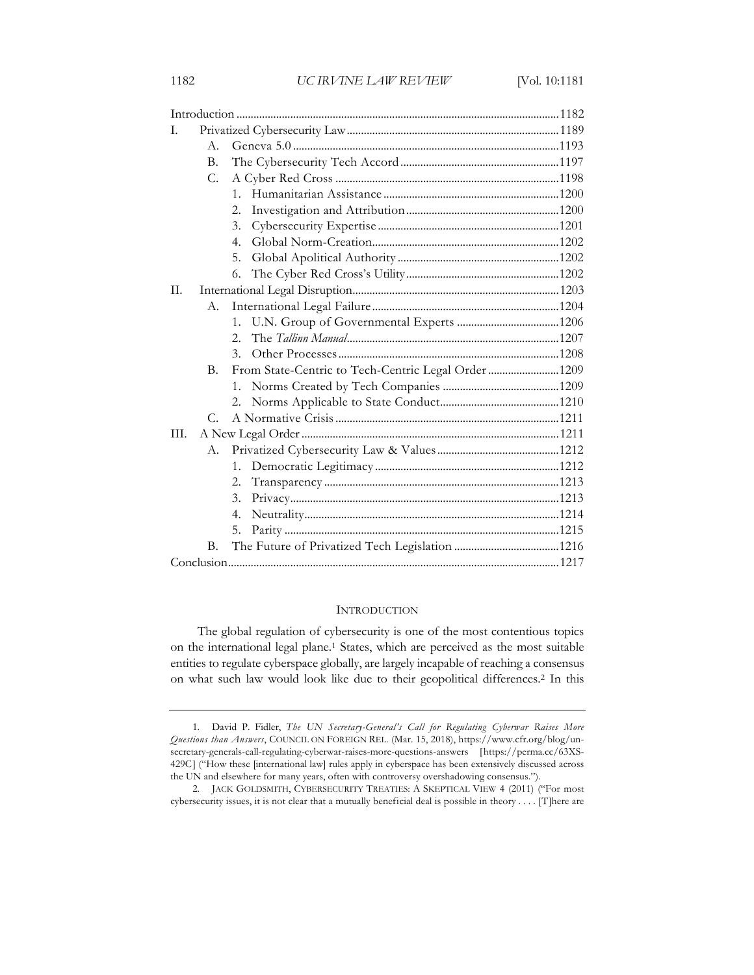| L.   |             |                                                     |  |
|------|-------------|-----------------------------------------------------|--|
|      | $A_{-}$     |                                                     |  |
|      | B.          |                                                     |  |
|      | C.          |                                                     |  |
|      |             | $1 \quad$                                           |  |
|      |             | 2.                                                  |  |
|      |             | 3.                                                  |  |
|      |             | 4 <sub>1</sub>                                      |  |
|      |             | 5.                                                  |  |
|      |             | 6.                                                  |  |
| Π.   |             |                                                     |  |
|      | А.          |                                                     |  |
|      |             | $1_{-}$                                             |  |
|      |             | $2_{1}$                                             |  |
|      |             | 3.                                                  |  |
|      | B.          | From State-Centric to Tech-Centric Legal Order 1209 |  |
|      |             |                                                     |  |
|      |             |                                                     |  |
|      | $C_{\cdot}$ |                                                     |  |
| III. |             |                                                     |  |
|      | A.          |                                                     |  |
|      |             | 1 <sub>1</sub>                                      |  |
|      |             | 2.                                                  |  |
|      |             | 3.                                                  |  |
|      |             | 4.                                                  |  |
|      |             | 5.                                                  |  |
|      | В.          |                                                     |  |
|      |             |                                                     |  |

#### **INTRODUCTION**

The global regulation of cybersecurity is one of the most contentious topics on the international legal plane.1 States, which are perceived as the most suitable entities to regulate cyberspace globally, are largely incapable of reaching a consensus on what such law would look like due to their geopolitical differences.2 In this

<sup>1.</sup> David P. Fidler, *The UN Secretary-General's Call for Regulating Cyberwar Raises More Questions than Answers*, COUNCIL ON FOREIGN REL. (Mar. 15, 2018), https://www.cfr.org/blog/unsecretary-generals-call-regulating-cyberwar-raises-more-questions-answers [https://perma.cc/63XS-429C] ("How these [international law] rules apply in cyberspace has been extensively discussed across the UN and elsewhere for many years, often with controversy overshadowing consensus.").

<sup>2.</sup> JACK GOLDSMITH, CYBERSECURITY TREATIES: A SKEPTICAL VIEW 4 (2011) ("For most cybersecurity issues, it is not clear that a mutually beneficial deal is possible in theory . . . . [T]here are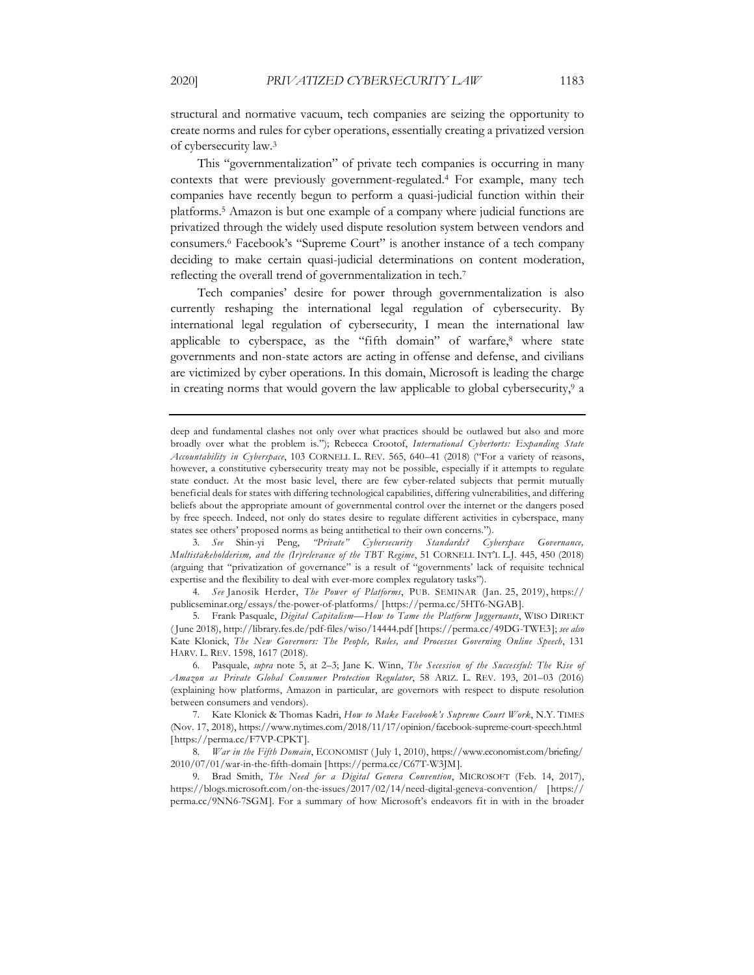structural and normative vacuum, tech companies are seizing the opportunity to create norms and rules for cyber operations, essentially creating a privatized version of cybersecurity law.3

This "governmentalization" of private tech companies is occurring in many contexts that were previously government-regulated.4 For example, many tech companies have recently begun to perform a quasi-judicial function within their platforms.5 Amazon is but one example of a company where judicial functions are privatized through the widely used dispute resolution system between vendors and consumers.6 Facebook's "Supreme Court" is another instance of a tech company deciding to make certain quasi-judicial determinations on content moderation, reflecting the overall trend of governmentalization in tech.7

Tech companies' desire for power through governmentalization is also currently reshaping the international legal regulation of cybersecurity. By international legal regulation of cybersecurity, I mean the international law applicable to cyberspace, as the "fifth domain" of warfare,8 where state governments and non-state actors are acting in offense and defense, and civilians are victimized by cyber operations. In this domain, Microsoft is leading the charge in creating norms that would govern the law applicable to global cybersecurity,<sup>9</sup> a

3. *See* Shin-yi Peng, *"Private" Cybersecurity Standards? Cyberspace Governance, Multistakeholderism, and the (Ir)relevance of the TBT Regime*, 51 CORNELL INT'L L.J. 445, 450 (2018) (arguing that "privatization of governance" is a result of "governments' lack of requisite technical expertise and the flexibility to deal with ever-more complex regulatory tasks").

4. *See* Janosik Herder, *The Power of Platforms*, PUB. SEMINAR (Jan. 25, 2019), https:// publicseminar.org/essays/the-power-of-platforms/ [https://perma.cc/5HT6-NGAB].

5. Frank Pasquale, *Digital Capitalism—How to Tame the Platform Juggernauts*, WISO DIREKT ( June 2018), http://library.fes.de/pdf-files/wiso/14444.pdf [https://perma.cc/49DG-TWE3]; *see also*  Kate Klonick, *The New Governors: The People, Rules, and Processes Governing Online Speech*, 131 HARV. L. REV. 1598, 1617 (2018).

6. Pasquale, *supra* note 5, at 2–3; Jane K. Winn, *The Secession of the Successful: The Rise of Amazon as Private Global Consumer Protection Regulator*, 58 ARIZ. L. REV. 193, 201–03 (2016) (explaining how platforms, Amazon in particular, are governors with respect to dispute resolution between consumers and vendors).

7. Kate Klonick & Thomas Kadri, *How to Make Facebook's Supreme Court Work*, N.Y. TIMES (Nov. 17, 2018), https://www.nytimes.com/2018/11/17/opinion/facebook-supreme-court-speech.html [https://perma.cc/F7VP-CPKT].

8. *War in the Fifth Domain*, ECONOMIST ( July 1, 2010), https://www.economist.com/briefing/ 2010/07/01/war-in-the-fifth-domain [https://perma.cc/C67T-W3JM].

9. Brad Smith, *The Need for a Digital Geneva Convention*, MICROSOFT (Feb. 14, 2017), https://blogs.microsoft.com/on-the-issues/2017/02/14/need-digital-geneva-convention/ [https:// perma.cc/9NN6-7SGM]. For a summary of how Microsoft's endeavors fit in with in the broader

deep and fundamental clashes not only over what practices should be outlawed but also and more broadly over what the problem is."); Rebecca Crootof, *International Cybertorts: Expanding State Accountability in Cyberspace*, 103 CORNELL L. REV. 565, 640–41 (2018) ("For a variety of reasons, however, a constitutive cybersecurity treaty may not be possible, especially if it attempts to regulate state conduct. At the most basic level, there are few cyber-related subjects that permit mutually beneficial deals for states with differing technological capabilities, differing vulnerabilities, and differing beliefs about the appropriate amount of governmental control over the internet or the dangers posed by free speech. Indeed, not only do states desire to regulate different activities in cyberspace, many states see others' proposed norms as being antithetical to their own concerns.").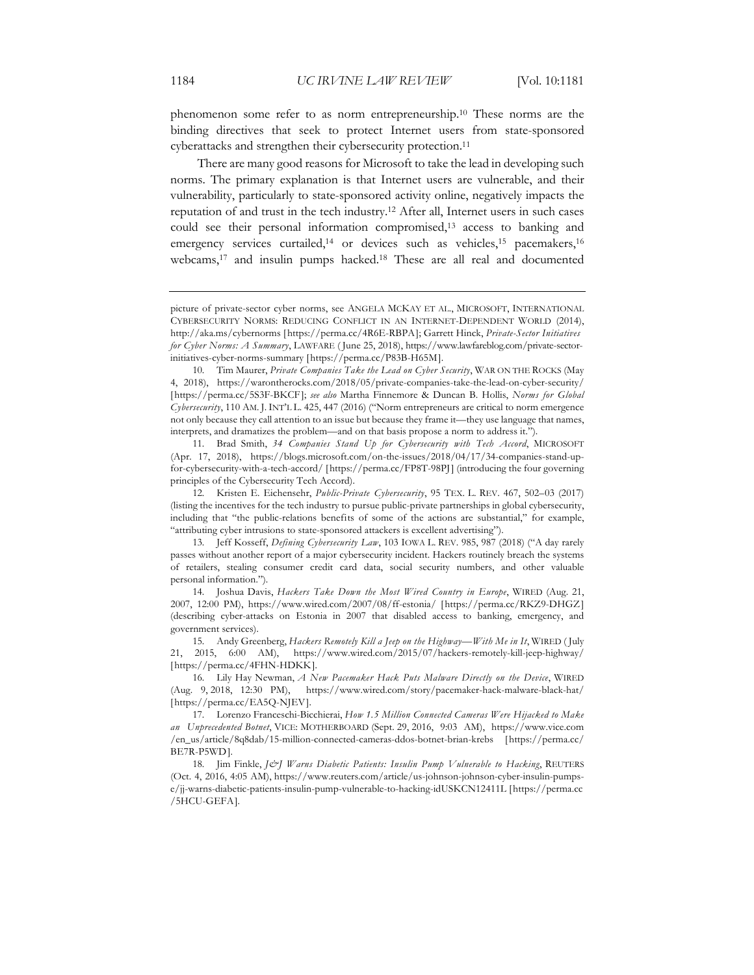phenomenon some refer to as norm entrepreneurship.10 These norms are the binding directives that seek to protect Internet users from state-sponsored cyberattacks and strengthen their cybersecurity protection.<sup>11</sup>

There are many good reasons for Microsoft to take the lead in developing such norms. The primary explanation is that Internet users are vulnerable, and their vulnerability, particularly to state-sponsored activity online, negatively impacts the reputation of and trust in the tech industry.12 After all, Internet users in such cases could see their personal information compromised,13 access to banking and emergency services curtailed,<sup>14</sup> or devices such as vehicles,<sup>15</sup> pacemakers,<sup>16</sup> webcams,<sup>17</sup> and insulin pumps hacked.<sup>18</sup> These are all real and documented

11. Brad Smith, *34 Companies Stand Up for Cybersecurity with Tech Accord*, MICROSOFT (Apr. 17, 2018), https://blogs.microsoft.com/on-the-issues/2018/04/17/34-companies-stand-upfor-cybersecurity-with-a-tech-accord/ [https://perma.cc/FP8T-98PJ] (introducing the four governing principles of the Cybersecurity Tech Accord).

16. Lily Hay Newman, *A New Pacemaker Hack Puts Malware Directly on the Device*, WIRED (Aug. 9, 2018, 12:30 PM), https://www.wired.com/story/pacemaker-hack-malware-black-hat/ [https://perma.cc/EA5Q-NJEV].

17. Lorenzo Franceschi-Bicchierai, *How 1.5 Million Connected Cameras Were Hijacked to Make an Unprecedented Botnet*, VICE: MOTHERBOARD (Sept. 29, 2016, 9:03 AM), https://www.vice.com /en\_us/article/8q8dab/15-million-connected-cameras-ddos-botnet-brian-krebs [https://perma.cc/ BE7R-P5WD].

18. Jim Finkle, *J&J Warns Diabetic Patients: Insulin Pump Vulnerable to Hacking*, REUTERS (Oct. 4, 2016, 4:05 AM), https://www.reuters.com/article/us-johnson-johnson-cyber-insulin-pumpse/jj-warns-diabetic-patients-insulin-pump-vulnerable-to-hacking-idUSKCN12411L [https://perma.cc /5HCU-GEFA].

picture of private-sector cyber norms, see ANGELA MCKAY ET AL., MICROSOFT, INTERNATIONAL CYBERSECURITY NORMS: REDUCING CONFLICT IN AN INTERNET-DEPENDENT WORLD (2014), http://aka.ms/cybernorms [https://perma.cc/4R6E-RBPA]; Garrett Hinck, *Private-Sector Initiatives for Cyber Norms: A Summary*, LAWFARE ( June 25, 2018), https://www.lawfareblog.com/private-sectorinitiatives-cyber-norms-summary [https://perma.cc/P83B-H65M].

<sup>10.</sup> Tim Maurer, *Private Companies Take the Lead on Cyber Security*, WAR ON THE ROCKS (May 4, 2018), https://warontherocks.com/2018/05/private-companies-take-the-lead-on-cyber-security/ [https://perma.cc/5S3F-BKCF]; *see also* Martha Finnemore & Duncan B. Hollis, *Norms for Global Cybersecurity*, 110 AM. J. INT'L L. 425, 447 (2016) ("Norm entrepreneurs are critical to norm emergence not only because they call attention to an issue but because they frame it—they use language that names, interprets, and dramatizes the problem—and on that basis propose a norm to address it.").

<sup>12.</sup> Kristen E. Eichensehr, *Public-Private Cybersecurity*, 95 TEX. L. REV. 467, 502–03 (2017) (listing the incentives for the tech industry to pursue public-private partnerships in global cybersecurity, including that "the public-relations benefits of some of the actions are substantial," for example, "attributing cyber intrusions to state-sponsored attackers is excellent advertising").

<sup>13.</sup> Jeff Kosseff, *Defining Cybersecurity Law*, 103 IOWA L. REV. 985, 987 (2018) ("A day rarely passes without another report of a major cybersecurity incident. Hackers routinely breach the systems of retailers, stealing consumer credit card data, social security numbers, and other valuable personal information.").

<sup>14.</sup> Joshua Davis, *Hackers Take Down the Most Wired Country in Europe*, WIRED (Aug. 21, 2007, 12:00 PM), https://www.wired.com/2007/08/ff-estonia/ [https://perma.cc/RKZ9-DHGZ] (describing cyber-attacks on Estonia in 2007 that disabled access to banking, emergency, and government services).

<sup>15.</sup> Andy Greenberg, *Hackers Remotely Kill a Jeep on the Highway—With Me in It*, WIRED ( July 21, 2015, 6:00 AM), https://www.wired.com/2015/07/hackers-remotely-kill-jeep-highway/ [https://perma.cc/4FHN-HDKK].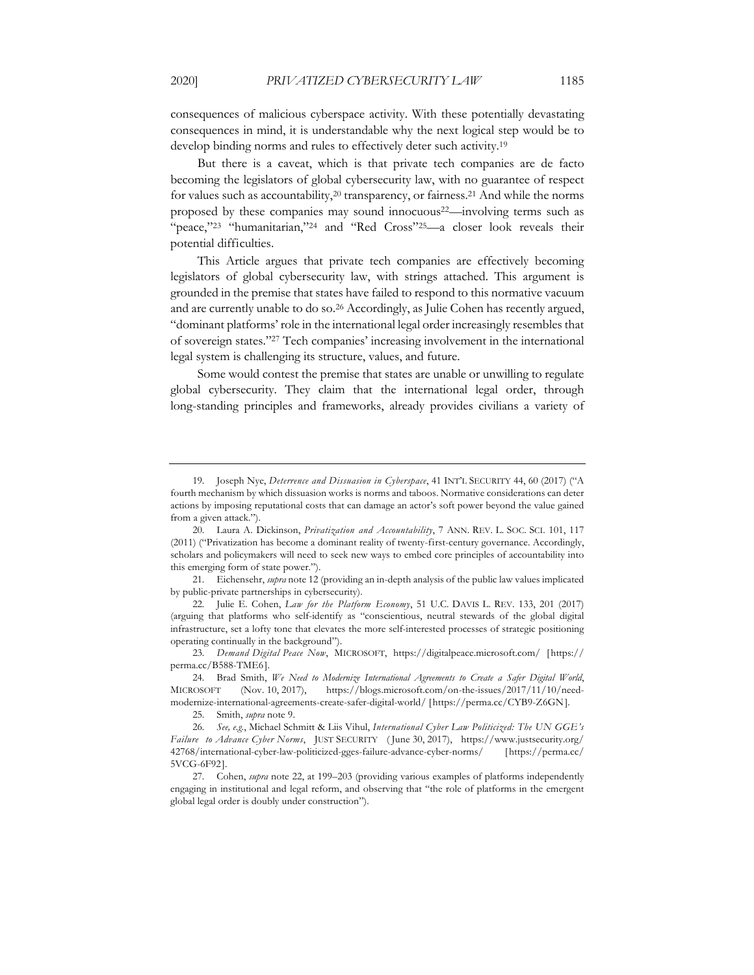consequences of malicious cyberspace activity. With these potentially devastating consequences in mind, it is understandable why the next logical step would be to develop binding norms and rules to effectively deter such activity.19

But there is a caveat, which is that private tech companies are de facto becoming the legislators of global cybersecurity law, with no guarantee of respect for values such as accountability,<sup>20</sup> transparency, or fairness.<sup>21</sup> And while the norms proposed by these companies may sound innocuous22—involving terms such as "peace,"<sup>23</sup> "humanitarian,"<sup>24</sup> and "Red Cross"<sup>25</sup>—a closer look reveals their potential difficulties.

This Article argues that private tech companies are effectively becoming legislators of global cybersecurity law, with strings attached. This argument is grounded in the premise that states have failed to respond to this normative vacuum and are currently unable to do so.26 Accordingly, as Julie Cohen has recently argued, "dominant platforms' role in the international legal order increasingly resembles that of sovereign states."27 Tech companies' increasing involvement in the international legal system is challenging its structure, values, and future.

Some would contest the premise that states are unable or unwilling to regulate global cybersecurity. They claim that the international legal order, through long-standing principles and frameworks, already provides civilians a variety of

25. Smith, *supra* note 9.

<sup>19.</sup> Joseph Nye, *Deterrence and Dissuasion in Cyberspace*, 41 INT'L SECURITY 44, 60 (2017) ("A fourth mechanism by which dissuasion works is norms and taboos. Normative considerations can deter actions by imposing reputational costs that can damage an actor's soft power beyond the value gained from a given attack.").

<sup>20.</sup> Laura A. Dickinson, *Privatization and Accountability*, 7 ANN. REV. L. SOC. SCI. 101, 117 (2011) ("Privatization has become a dominant reality of twenty-first-century governance. Accordingly, scholars and policymakers will need to seek new ways to embed core principles of accountability into this emerging form of state power.").

<sup>21.</sup> Eichensehr, *supra* note 12 (providing an in-depth analysis of the public law values implicated by public-private partnerships in cybersecurity).

<sup>22.</sup> Julie E. Cohen, *Law for the Platform Economy*, 51 U.C. DAVIS L. REV. 133, 201 (2017) (arguing that platforms who self-identify as "conscientious, neutral stewards of the global digital infrastructure, set a lofty tone that elevates the more self-interested processes of strategic positioning operating continually in the background").

<sup>23.</sup> *Demand Digital Peace Now*, MICROSOFT, https://digitalpeace.microsoft.com/ [https:// perma.cc/B588-TME6].

<sup>24.</sup> Brad Smith, *We Need to Modernize International Agreements to Create a Safer Digital World*, MICROSOFT (Nov. 10, 2017), https://blogs.microsoft.com/on-the-issues/2017/11/10/needmodernize-international-agreements-create-safer-digital-world/ [https://perma.cc/CYB9-Z6GN].

<sup>26.</sup> *See, e.g.*, Michael Schmitt & Liis Vihul, *International Cyber Law Politicized: The UN GGE's Failure to Advance Cyber Norms*, JUST SECURITY ( June 30, 2017), https://www.justsecurity.org/ 42768/international-cyber-law-politicized-gges-failure-advance-cyber-norms/ [https://perma.cc/ 5VCG-6F92].

<sup>27.</sup> Cohen, *supra* note 22, at 199–203 (providing various examples of platforms independently engaging in institutional and legal reform, and observing that "the role of platforms in the emergent global legal order is doubly under construction").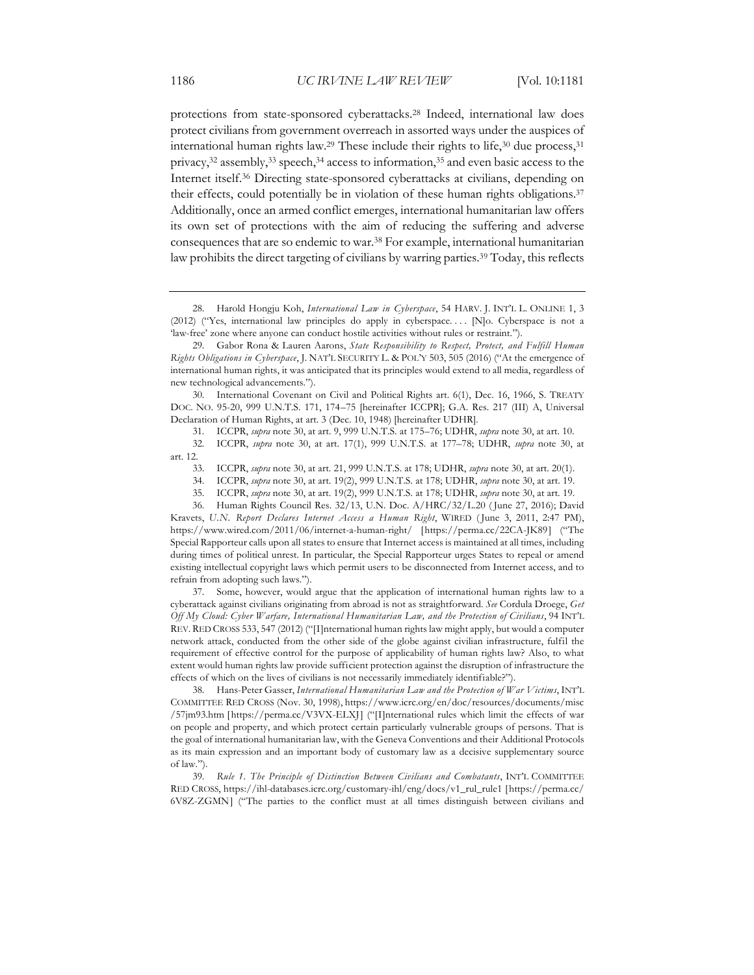protections from state-sponsored cyberattacks.28 Indeed, international law does protect civilians from government overreach in assorted ways under the auspices of international human rights law.<sup>29</sup> These include their rights to life, $30$  due process, $31$ privacy,<sup>32</sup> assembly,<sup>33</sup> speech,<sup>34</sup> access to information,<sup>35</sup> and even basic access to the Internet itself.36 Directing state-sponsored cyberattacks at civilians, depending on their effects, could potentially be in violation of these human rights obligations.37 Additionally, once an armed conflict emerges, international humanitarian law offers its own set of protections with the aim of reducing the suffering and adverse consequences that are so endemic to war.38 For example, international humanitarian law prohibits the direct targeting of civilians by warring parties.39 Today, this reflects

30. International Covenant on Civil and Political Rights art. 6(1), Dec. 16, 1966, S. TREATY DOC. NO. 95-20, 999 U.N.T.S. 171, 174–75 [hereinafter ICCPR]; G.A. Res. 217 (III) A, Universal Declaration of Human Rights, at art. 3 (Dec. 10, 1948) [hereinafter UDHR].

36. Human Rights Council Res. 32/13, U.N. Doc. A/HRC/32/L.20 ( June 27, 2016); David Kravets, *U.N. Report Declares Internet Access a Human Right*, WIRED ( June 3, 2011, 2:47 PM), https://www.wired.com/2011/06/internet-a-human-right/ [https://perma.cc/22CA-JK89] ("The Special Rapporteur calls upon all states to ensure that Internet access is maintained at all times, including during times of political unrest. In particular, the Special Rapporteur urges States to repeal or amend existing intellectual copyright laws which permit users to be disconnected from Internet access, and to refrain from adopting such laws.").

37. Some, however, would argue that the application of international human rights law to a cyberattack against civilians originating from abroad is not as straightforward. *See* Cordula Droege, *Get Off My Cloud: Cyber Warfare, International Humanitarian Law, and the Protection of Civilians*, 94 INT'L REV. RED CROSS 533, 547 (2012) ("[I]nternational human rights law might apply, but would a computer network attack, conducted from the other side of the globe against civilian infrastructure, fulfil the requirement of effective control for the purpose of applicability of human rights law? Also, to what extent would human rights law provide sufficient protection against the disruption of infrastructure the effects of which on the lives of civilians is not necessarily immediately identifiable?").

38. Hans-Peter Gasser, *International Humanitarian Law and the Protection of War Victims*, INT'L COMMITTEE RED CROSS (Nov. 30, 1998), https://www.icrc.org/en/doc/resources/documents/misc /57jm93.htm [https://perma.cc/V3VX-ELXJ] ("[I]nternational rules which limit the effects of war on people and property, and which protect certain particularly vulnerable groups of persons. That is the goal of international humanitarian law, with the Geneva Conventions and their Additional Protocols as its main expression and an important body of customary law as a decisive supplementary source of law.").

39. *Rule 1. The Principle of Distinction Between Civilians and Combatants*, INT'L COMMITTEE RED CROSS, https://ihl-databases.icrc.org/customary-ihl/eng/docs/v1\_rul\_rule1 [https://perma.cc/ 6V8Z-ZGMN] ("The parties to the conflict must at all times distinguish between civilians and

<sup>28.</sup> Harold Hongju Koh, *International Law in Cyberspace*, 54 HARV. J. INT'L L. ONLINE 1, 3 (2012) ("Yes, international law principles do apply in cyberspace. . . . [N]o. Cyberspace is not a 'law-free' zone where anyone can conduct hostile activities without rules or restraint.").

<sup>29.</sup> Gabor Rona & Lauren Aarons, *State Responsibility to Respect, Protect, and Fulfill Human Rights Obligations in Cyberspace*, J. NAT'L SECURITY L. & POL'Y 503, 505 (2016) ("At the emergence of international human rights, it was anticipated that its principles would extend to all media, regardless of new technological advancements.").

<sup>31.</sup> ICCPR, *supra* note 30, at art. 9, 999 U.N.T.S. at 175–76; UDHR, *supra* note 30, at art. 10.

<sup>32.</sup> ICCPR, *supra* note 30, at art. 17(1), 999 U.N.T.S. at 177–78; UDHR, *supra* note 30, at art. 12.

<sup>33.</sup> ICCPR, *supra* note 30, at art. 21, 999 U.N.T.S. at 178; UDHR, *supra* note 30, at art. 20(1).

<sup>34.</sup> ICCPR, *supra* note 30, at art. 19(2), 999 U.N.T.S. at 178; UDHR, *supra* note 30, at art. 19.

<sup>35.</sup> ICCPR, *supra* note 30, at art. 19(2), 999 U.N.T.S. at 178; UDHR, *supra* note 30, at art. 19.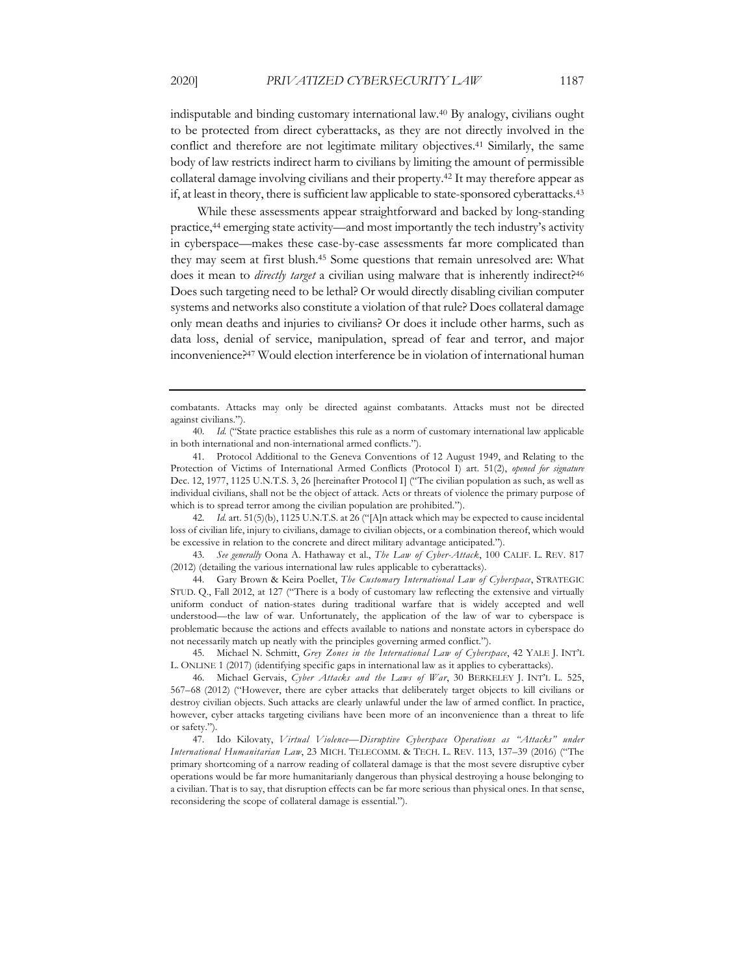indisputable and binding customary international law.40 By analogy, civilians ought to be protected from direct cyberattacks, as they are not directly involved in the conflict and therefore are not legitimate military objectives.41 Similarly, the same body of law restricts indirect harm to civilians by limiting the amount of permissible collateral damage involving civilians and their property.42 It may therefore appear as if, at least in theory, there is sufficient law applicable to state-sponsored cyberattacks. 43

While these assessments appear straightforward and backed by long-standing practice,44 emerging state activity—and most importantly the tech industry's activity in cyberspace—makes these case-by-case assessments far more complicated than they may seem at first blush.45 Some questions that remain unresolved are: What does it mean to *directly target* a civilian using malware that is inherently indirect?<sup>46</sup> Does such targeting need to be lethal? Or would directly disabling civilian computer systems and networks also constitute a violation of that rule? Does collateral damage only mean deaths and injuries to civilians? Or does it include other harms, such as data loss, denial of service, manipulation, spread of fear and terror, and major inconvenience?47 Would election interference be in violation of international human

42. *Id.* art. 51(5)(b), 1125 U.N.T.S. at 26 ("[A]n attack which may be expected to cause incidental loss of civilian life, injury to civilians, damage to civilian objects, or a combination thereof, which would be excessive in relation to the concrete and direct military advantage anticipated.").

43. *See generally* Oona A. Hathaway et al., *The Law of Cyber-Attack*, 100 CALIF. L. REV. 817 (2012) (detailing the various international law rules applicable to cyberattacks).

44. Gary Brown & Keira Poellet, *The Customary International Law of Cyberspace*, STRATEGIC STUD. Q., Fall 2012, at 127 ("There is a body of customary law reflecting the extensive and virtually uniform conduct of nation-states during traditional warfare that is widely accepted and well understood—the law of war. Unfortunately, the application of the law of war to cyberspace is problematic because the actions and effects available to nations and nonstate actors in cyberspace do not necessarily match up neatly with the principles governing armed conflict.").

46. Michael Gervais, *Cyber Attacks and the Laws of War*, 30 BERKELEY J. INT'L L. 525, 567–68 (2012) ("However, there are cyber attacks that deliberately target objects to kill civilians or destroy civilian objects. Such attacks are clearly unlawful under the law of armed conflict. In practice, however, cyber attacks targeting civilians have been more of an inconvenience than a threat to life or safety.").

47. Ido Kilovaty, *Virtual Violence—Disruptive Cyberspace Operations as "Attacks" under International Humanitarian Law*, 23 MICH. TELECOMM. & TECH. L. REV. 113, 137–39 (2016) ("The primary shortcoming of a narrow reading of collateral damage is that the most severe disruptive cyber operations would be far more humanitarianly dangerous than physical destroying a house belonging to a civilian. That is to say, that disruption effects can be far more serious than physical ones. In that sense, reconsidering the scope of collateral damage is essential.").

combatants. Attacks may only be directed against combatants. Attacks must not be directed against civilians.").

<sup>40.</sup> *Id.* ("State practice establishes this rule as a norm of customary international law applicable in both international and non-international armed conflicts.").

<sup>41.</sup> Protocol Additional to the Geneva Conventions of 12 August 1949, and Relating to the Protection of Victims of International Armed Conflicts (Protocol I) art. 51(2), *opened for signature* Dec. 12, 1977, 1125 U.N.T.S. 3, 26 [hereinafter Protocol I] ("The civilian population as such, as well as individual civilians, shall not be the object of attack. Acts or threats of violence the primary purpose of which is to spread terror among the civilian population are prohibited.").

<sup>45.</sup> Michael N. Schmitt, *Grey Zones in the International Law of Cyberspace*, 42 YALE J. INT'L L. ONLINE 1 (2017) (identifying specific gaps in international law as it applies to cyberattacks).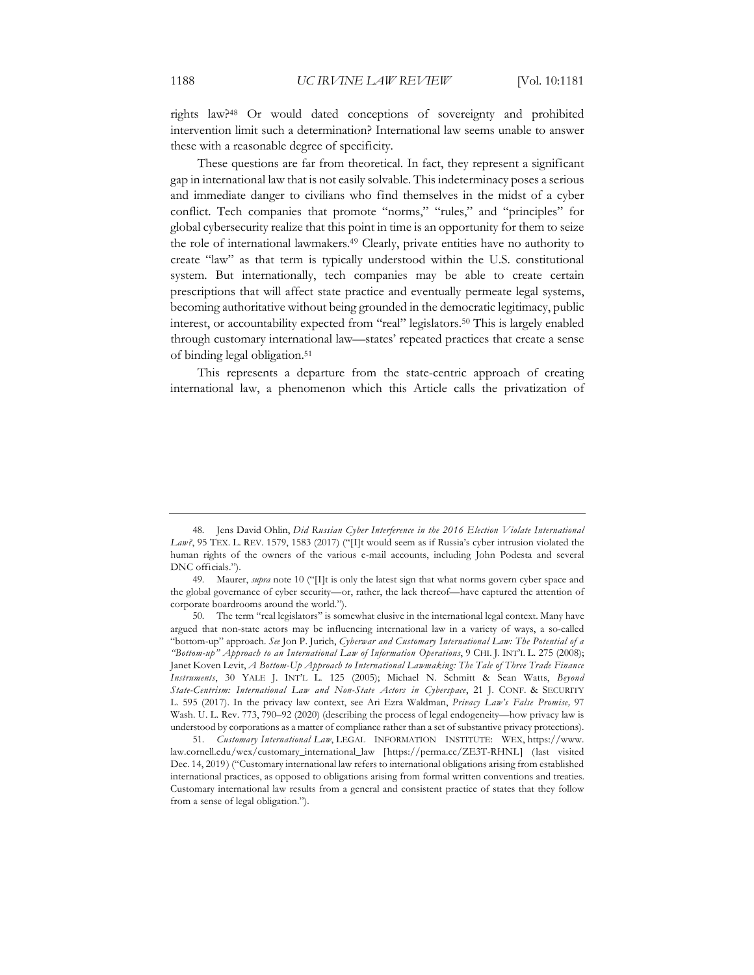rights law?48 Or would dated conceptions of sovereignty and prohibited intervention limit such a determination? International law seems unable to answer these with a reasonable degree of specificity.

These questions are far from theoretical. In fact, they represent a significant gap in international law that is not easily solvable. This indeterminacy poses a serious and immediate danger to civilians who find themselves in the midst of a cyber conflict. Tech companies that promote "norms," "rules," and "principles" for global cybersecurity realize that this point in time is an opportunity for them to seize the role of international lawmakers.49 Clearly, private entities have no authority to create "law" as that term is typically understood within the U.S. constitutional system. But internationally, tech companies may be able to create certain prescriptions that will affect state practice and eventually permeate legal systems, becoming authoritative without being grounded in the democratic legitimacy, public interest, or accountability expected from "real" legislators.50 This is largely enabled through customary international law—states' repeated practices that create a sense of binding legal obligation.51

This represents a departure from the state-centric approach of creating international law, a phenomenon which this Article calls the privatization of

<sup>48.</sup> Jens David Ohlin, *Did Russian Cyber Interference in the 2016 Election Violate International*  Law?, 95 TEX. L. REV. 1579, 1583 (2017) ("[I]t would seem as if Russia's cyber intrusion violated the human rights of the owners of the various e-mail accounts, including John Podesta and several DNC officials.").

<sup>49.</sup> Maurer, *supra* note 10 ("[I]t is only the latest sign that what norms govern cyber space and the global governance of cyber security—or, rather, the lack thereof—have captured the attention of corporate boardrooms around the world.").

<sup>50.</sup> The term "real legislators" is somewhat elusive in the international legal context. Many have argued that non-state actors may be influencing international law in a variety of ways, a so-called "bottom-up" approach. *See* Jon P. Jurich, *Cyberwar and Customary International Law: The Potential of a "Bottom-up" Approach to an International Law of Information Operations*, 9 CHI. J. INT'L L. 275 (2008); Janet Koven Levit, *A Bottom-Up Approach to International Lawmaking: The Tale of Three Trade Finance Instruments*, 30 YALE J. INT'L L. 125 (2005); Michael N. Schmitt & Sean Watts, *Beyond State-Centrism: International Law and Non-State Actors in Cyberspace*, 21 J. CONF. & SECURITY L. 595 (2017). In the privacy law context, see Ari Ezra Waldman, *Privacy Law's False Promise,* 97 Wash. U. L. Rev. 773, 790–92 (2020) (describing the process of legal endogeneity—how privacy law is understood by corporations as a matter of compliance rather than a set of substantive privacy protections).

<sup>51.</sup> *Customary International Law*, LEGAL INFORMATION INSTITUTE: WEX, https://www. law.cornell.edu/wex/customary\_international\_law [https://perma.cc/ZE3T-RHNL] (last visited Dec. 14, 2019) ("Customary international law refers to international obligations arising from established international practices, as opposed to obligations arising from formal written conventions and treaties. Customary international law results from a general and consistent practice of states that they follow from a sense of legal obligation.").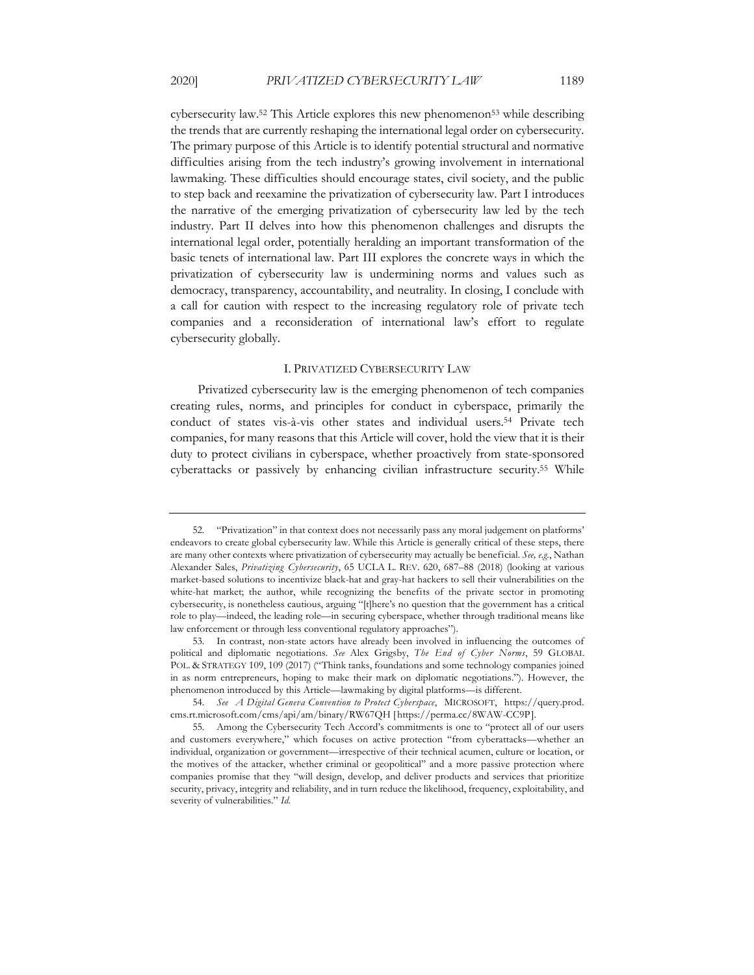cybersecurity law.<sup>52</sup> This Article explores this new phenomenon<sup>53</sup> while describing the trends that are currently reshaping the international legal order on cybersecurity. The primary purpose of this Article is to identify potential structural and normative difficulties arising from the tech industry's growing involvement in international lawmaking. These difficulties should encourage states, civil society, and the public to step back and reexamine the privatization of cybersecurity law. Part I introduces the narrative of the emerging privatization of cybersecurity law led by the tech industry. Part II delves into how this phenomenon challenges and disrupts the international legal order, potentially heralding an important transformation of the basic tenets of international law. Part III explores the concrete ways in which the privatization of cybersecurity law is undermining norms and values such as democracy, transparency, accountability, and neutrality. In closing, I conclude with a call for caution with respect to the increasing regulatory role of private tech companies and a reconsideration of international law's effort to regulate cybersecurity globally.

#### I. PRIVATIZED CYBERSECURITY LAW

Privatized cybersecurity law is the emerging phenomenon of tech companies creating rules, norms, and principles for conduct in cyberspace, primarily the conduct of states vis-à-vis other states and individual users.54 Private tech companies, for many reasons that this Article will cover, hold the view that it is their duty to protect civilians in cyberspace, whether proactively from state-sponsored cyberattacks or passively by enhancing civilian infrastructure security.55 While

<sup>52.</sup> "Privatization" in that context does not necessarily pass any moral judgement on platforms' endeavors to create global cybersecurity law. While this Article is generally critical of these steps, there are many other contexts where privatization of cybersecurity may actually be beneficial. *See, e.g.*, Nathan Alexander Sales, *Privatizing Cybersecurity*, 65 UCLA L. REV. 620, 687–88 (2018) (looking at various market-based solutions to incentivize black-hat and gray-hat hackers to sell their vulnerabilities on the white-hat market; the author, while recognizing the benefits of the private sector in promoting cybersecurity, is nonetheless cautious, arguing "[t]here's no question that the government has a critical role to play—indeed, the leading role—in securing cyberspace, whether through traditional means like law enforcement or through less conventional regulatory approaches").

<sup>53.</sup> In contrast, non-state actors have already been involved in influencing the outcomes of political and diplomatic negotiations. *See* Alex Grigsby, *The End of Cyber Norms*, 59 GLOBAL POL. & STRATEGY 109, 109 (2017) ("Think tanks, foundations and some technology companies joined in as norm entrepreneurs, hoping to make their mark on diplomatic negotiations."). However, the phenomenon introduced by this Article—lawmaking by digital platforms—is different.

<sup>54.</sup> *See A Digital Geneva Convention to Protect Cyberspace*, MICROSOFT, https://query.prod. cms.rt.microsoft.com/cms/api/am/binary/RW67QH [https://perma.cc/8WAW-CC9P].

<sup>55.</sup> Among the Cybersecurity Tech Accord's commitments is one to "protect all of our users and customers everywhere," which focuses on active protection "from cyberattacks—whether an individual, organization or government—irrespective of their technical acumen, culture or location, or the motives of the attacker, whether criminal or geopolitical" and a more passive protection where companies promise that they "will design, develop, and deliver products and services that prioritize security, privacy, integrity and reliability, and in turn reduce the likelihood, frequency, exploitability, and severity of vulnerabilities." *Id.*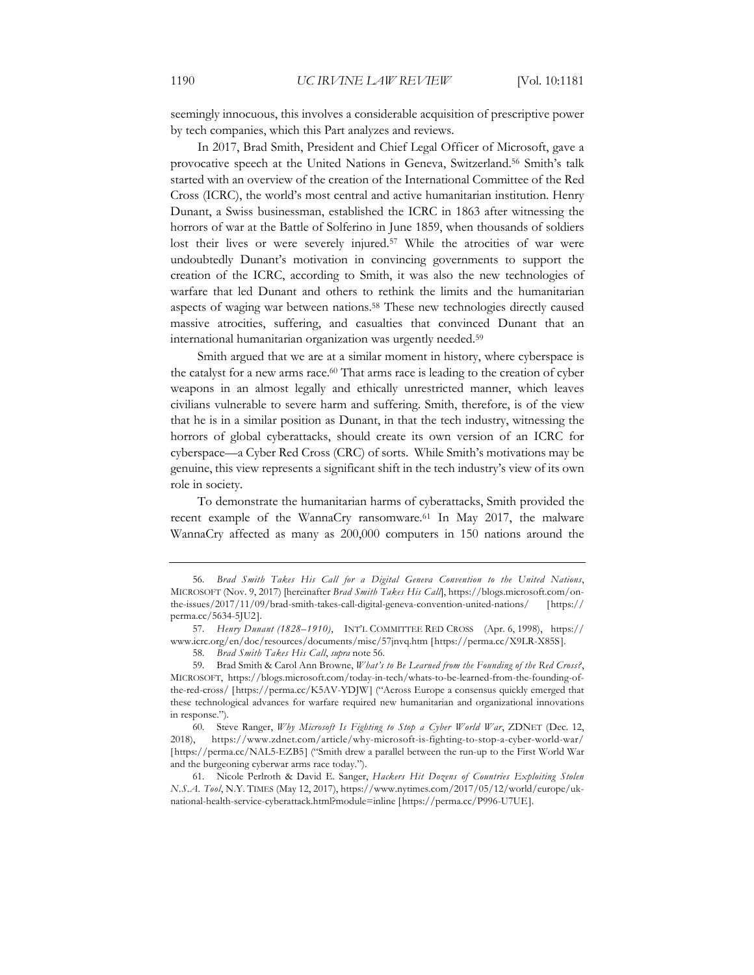seemingly innocuous, this involves a considerable acquisition of prescriptive power by tech companies, which this Part analyzes and reviews.

In 2017, Brad Smith, President and Chief Legal Officer of Microsoft, gave a provocative speech at the United Nations in Geneva, Switzerland.56 Smith's talk started with an overview of the creation of the International Committee of the Red Cross (ICRC), the world's most central and active humanitarian institution. Henry Dunant, a Swiss businessman, established the ICRC in 1863 after witnessing the horrors of war at the Battle of Solferino in June 1859, when thousands of soldiers lost their lives or were severely injured.57 While the atrocities of war were undoubtedly Dunant's motivation in convincing governments to support the creation of the ICRC, according to Smith, it was also the new technologies of warfare that led Dunant and others to rethink the limits and the humanitarian aspects of waging war between nations.58 These new technologies directly caused massive atrocities, suffering, and casualties that convinced Dunant that an international humanitarian organization was urgently needed.59

Smith argued that we are at a similar moment in history, where cyberspace is the catalyst for a new arms race.<sup>60</sup> That arms race is leading to the creation of cyber weapons in an almost legally and ethically unrestricted manner, which leaves civilians vulnerable to severe harm and suffering. Smith, therefore, is of the view that he is in a similar position as Dunant, in that the tech industry, witnessing the horrors of global cyberattacks, should create its own version of an ICRC for cyberspace—a Cyber Red Cross (CRC) of sorts. While Smith's motivations may be genuine, this view represents a significant shift in the tech industry's view of its own role in society.

To demonstrate the humanitarian harms of cyberattacks, Smith provided the recent example of the WannaCry ransomware.<sup>61</sup> In May 2017, the malware WannaCry affected as many as 200,000 computers in 150 nations around the

<sup>56.</sup> *Brad Smith Takes His Call for a Digital Geneva Convention to the United Nations*, MICROSOFT (Nov. 9, 2017) [hereinafter *Brad Smith Takes His Call*], https://blogs.microsoft.com/onthe-issues/2017/11/09/brad-smith-takes-call-digital-geneva-convention-united-nations/ [https:// perma.cc/5634-5JU2].

<sup>57.</sup> *Henry Dunant (1828–1910)*, INT'L COMMITTEE RED CROSS (Apr. 6, 1998), https:// www.icrc.org/en/doc/resources/documents/misc/57jnvq.htm [https://perma.cc/X9LR-X85S].

<sup>58.</sup> *Brad Smith Takes His Call*, *supra* note 56.

<sup>59.</sup> Brad Smith & Carol Ann Browne, *What's to Be Learned from the Founding of the Red Cross?*, MICROSOFT, https://blogs.microsoft.com/today-in-tech/whats-to-be-learned-from-the-founding-ofthe-red-cross/ [https://perma.cc/K5AV-YDJW] ("Across Europe a consensus quickly emerged that these technological advances for warfare required new humanitarian and organizational innovations in response.").

<sup>60.</sup> Steve Ranger, *Why Microsoft Is Fighting to Stop a Cyber World War*, ZDNET (Dec. 12, 2018), https://www.zdnet.com/article/why-microsoft-is-fighting-to-stop-a-cyber-world-war/ [https://perma.cc/NAL5-EZB5] ("Smith drew a parallel between the run-up to the First World War and the burgeoning cyberwar arms race today.").

<sup>61.</sup> Nicole Perlroth & David E. Sanger, *Hackers Hit Dozens of Countries Exploiting Stolen N.S.A. Tool*, N.Y. TIMES (May 12, 2017), https://www.nytimes.com/2017/05/12/world/europe/uknational-health-service-cyberattack.html?module=inline [https://perma.cc/P996-U7UE].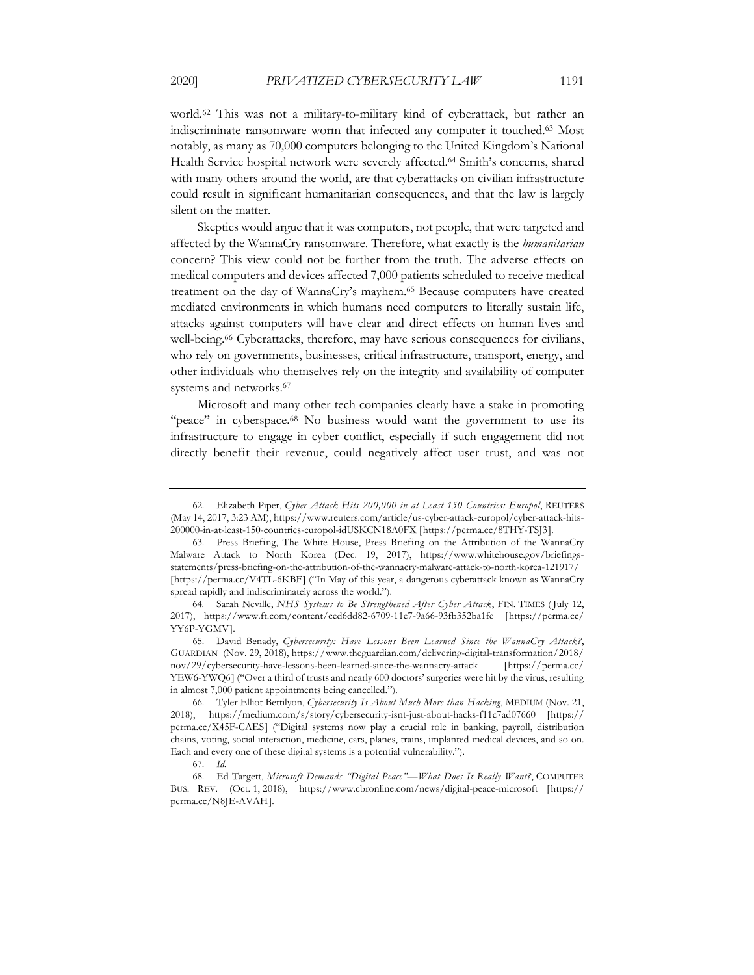world.62 This was not a military-to-military kind of cyberattack, but rather an indiscriminate ransomware worm that infected any computer it touched.63 Most notably, as many as 70,000 computers belonging to the United Kingdom's National Health Service hospital network were severely affected.64 Smith's concerns, shared with many others around the world, are that cyberattacks on civilian infrastructure could result in significant humanitarian consequences, and that the law is largely

Skeptics would argue that it was computers, not people, that were targeted and affected by the WannaCry ransomware. Therefore, what exactly is the *humanitarian* concern? This view could not be further from the truth. The adverse effects on medical computers and devices affected 7,000 patients scheduled to receive medical treatment on the day of WannaCry's mayhem.65 Because computers have created mediated environments in which humans need computers to literally sustain life, attacks against computers will have clear and direct effects on human lives and well-being.<sup>66</sup> Cyberattacks, therefore, may have serious consequences for civilians, who rely on governments, businesses, critical infrastructure, transport, energy, and other individuals who themselves rely on the integrity and availability of computer systems and networks.67

Microsoft and many other tech companies clearly have a stake in promoting "peace" in cyberspace.<sup>68</sup> No business would want the government to use its infrastructure to engage in cyber conflict, especially if such engagement did not directly benefit their revenue, could negatively affect user trust, and was not

silent on the matter.

<sup>62.</sup> Elizabeth Piper, *Cyber Attack Hits 200,000 in at Least 150 Countries: Europol*, REUTERS (May 14, 2017, 3:23 AM), https://www.reuters.com/article/us-cyber-attack-europol/cyber-attack-hits-200000-in-at-least-150-countries-europol-idUSKCN18A0FX [https://perma.cc/8THY-TSJ3].

<sup>63.</sup> Press Briefing, The White House, Press Briefing on the Attribution of the WannaCry Malware Attack to North Korea (Dec. 19, 2017), https://www.whitehouse.gov/briefingsstatements/press-briefing-on-the-attribution-of-the-wannacry-malware-attack-to-north-korea-121917/ [https://perma.cc/V4TL-6KBF] ("In May of this year, a dangerous cyberattack known as WannaCry spread rapidly and indiscriminately across the world.").

<sup>64.</sup> Sarah Neville, *NHS Systems to Be Strengthened After Cyber Attack*, FIN. TIMES ( July 12, 2017), https://www.ft.com/content/ced6dd82-6709-11e7-9a66-93fb352ba1fe [https://perma.cc/ YY6P-YGMV].

<sup>65.</sup> David Benady, *Cybersecurity: Have Lessons Been Learned Since the WannaCry Attack?*, GUARDIAN (Nov. 29, 2018), https://www.theguardian.com/delivering-digital-transformation/2018/ nov/29/cybersecurity-have-lessons-been-learned-since-the-wannacry-attack [https://perma.cc/ YEW6-YWQ6] ("Over a third of trusts and nearly 600 doctors' surgeries were hit by the virus, resulting in almost 7,000 patient appointments being cancelled.").

<sup>66.</sup> Tyler Elliot Bettilyon, *Cybersecurity Is About Much More than Hacking*, MEDIUM (Nov. 21, 2018), https://medium.com/s/story/cybersecurity-isnt-just-about-hacks-f11c7ad07660 [https:// perma.cc/X45F-CAES] ("Digital systems now play a crucial role in banking, payroll, distribution chains, voting, social interaction, medicine, cars, planes, trains, implanted medical devices, and so on. Each and every one of these digital systems is a potential vulnerability.").

<sup>67.</sup> *Id.*

<sup>68.</sup> Ed Targett, *Microsoft Demands "Digital Peace"—What Does It Really Want?*, COMPUTER BUS. REV. (Oct. 1, 2018), https://www.cbronline.com/news/digital-peace-microsoft [https:// perma.cc/N8JE-AVAH].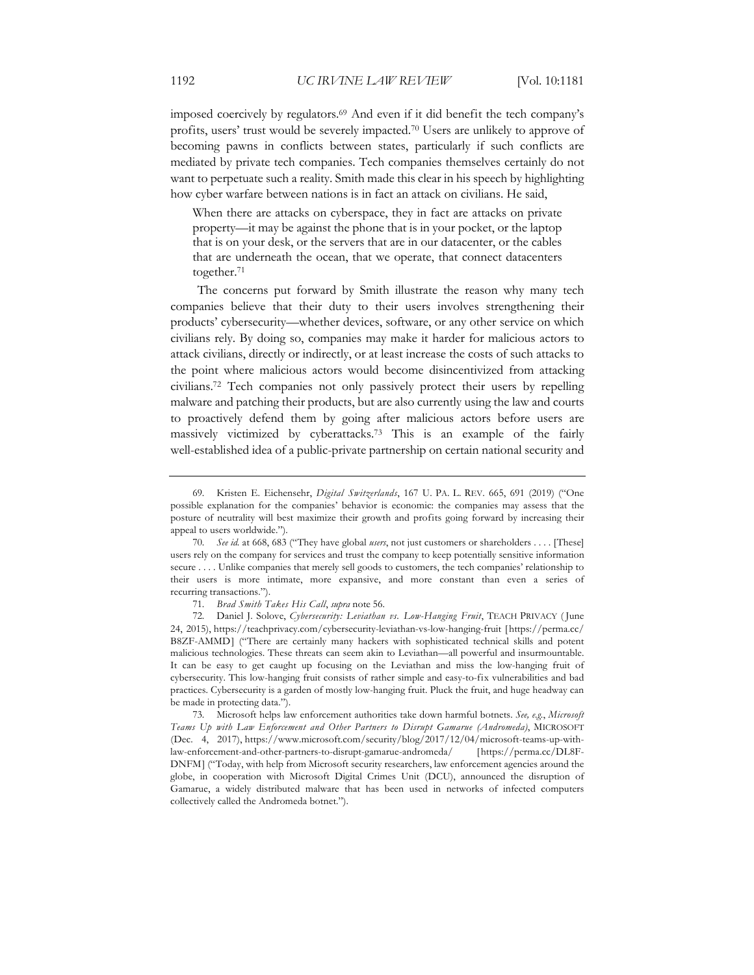imposed coercively by regulators.69 And even if it did benefit the tech company's profits, users' trust would be severely impacted.70 Users are unlikely to approve of becoming pawns in conflicts between states, particularly if such conflicts are mediated by private tech companies. Tech companies themselves certainly do not want to perpetuate such a reality. Smith made this clear in his speech by highlighting how cyber warfare between nations is in fact an attack on civilians. He said,

When there are attacks on cyberspace, they in fact are attacks on private property—it may be against the phone that is in your pocket, or the laptop that is on your desk, or the servers that are in our datacenter, or the cables that are underneath the ocean, that we operate, that connect datacenters together.71

The concerns put forward by Smith illustrate the reason why many tech companies believe that their duty to their users involves strengthening their products' cybersecurity—whether devices, software, or any other service on which civilians rely. By doing so, companies may make it harder for malicious actors to attack civilians, directly or indirectly, or at least increase the costs of such attacks to the point where malicious actors would become disincentivized from attacking civilians.72 Tech companies not only passively protect their users by repelling malware and patching their products, but are also currently using the law and courts to proactively defend them by going after malicious actors before users are massively victimized by cyberattacks.73 This is an example of the fairly well-established idea of a public-private partnership on certain national security and

<sup>69.</sup> Kristen E. Eichensehr, *Digital Switzerlands*, 167 U. PA. L. REV. 665, 691 (2019) ("One possible explanation for the companies' behavior is economic: the companies may assess that the posture of neutrality will best maximize their growth and profits going forward by increasing their appeal to users worldwide.").

<sup>70.</sup> *See id.* at 668, 683 ("They have global *users*, not just customers or shareholders . . . . [These] users rely on the company for services and trust the company to keep potentially sensitive information secure . . . . Unlike companies that merely sell goods to customers, the tech companies' relationship to their users is more intimate, more expansive, and more constant than even a series of recurring transactions.").

<sup>71.</sup> *Brad Smith Takes His Call*, *supra* note 56.

<sup>72.</sup> Daniel J. Solove, *Cybersecurity: Leviathan vs. Low-Hanging Fruit*, TEACH PRIVACY ( June 24, 2015), https://teachprivacy.com/cybersecurity-leviathan-vs-low-hanging-fruit [https://perma.cc/ B8ZF-AMMD] ("There are certainly many hackers with sophisticated technical skills and potent malicious technologies. These threats can seem akin to Leviathan—all powerful and insurmountable. It can be easy to get caught up focusing on the Leviathan and miss the low-hanging fruit of cybersecurity. This low-hanging fruit consists of rather simple and easy-to-fix vulnerabilities and bad practices. Cybersecurity is a garden of mostly low-hanging fruit. Pluck the fruit, and huge headway can be made in protecting data.").

<sup>73.</sup> Microsoft helps law enforcement authorities take down harmful botnets. *See, e.g.*, *Microsoft Teams Up with Law Enforcement and Other Partners to Disrupt Gamarue (Andromeda)*, MICROSOFT (Dec. 4, 2017), https://www.microsoft.com/security/blog/2017/12/04/microsoft-teams-up-withlaw-enforcement-and-other-partners-to-disrupt-gamarue-andromeda/ [https://perma.cc/DL8F-DNFM] ("Today, with help from Microsoft security researchers, law enforcement agencies around the globe, in cooperation with Microsoft Digital Crimes Unit (DCU), announced the disruption of Gamarue, a widely distributed malware that has been used in networks of infected computers collectively called the Andromeda botnet.").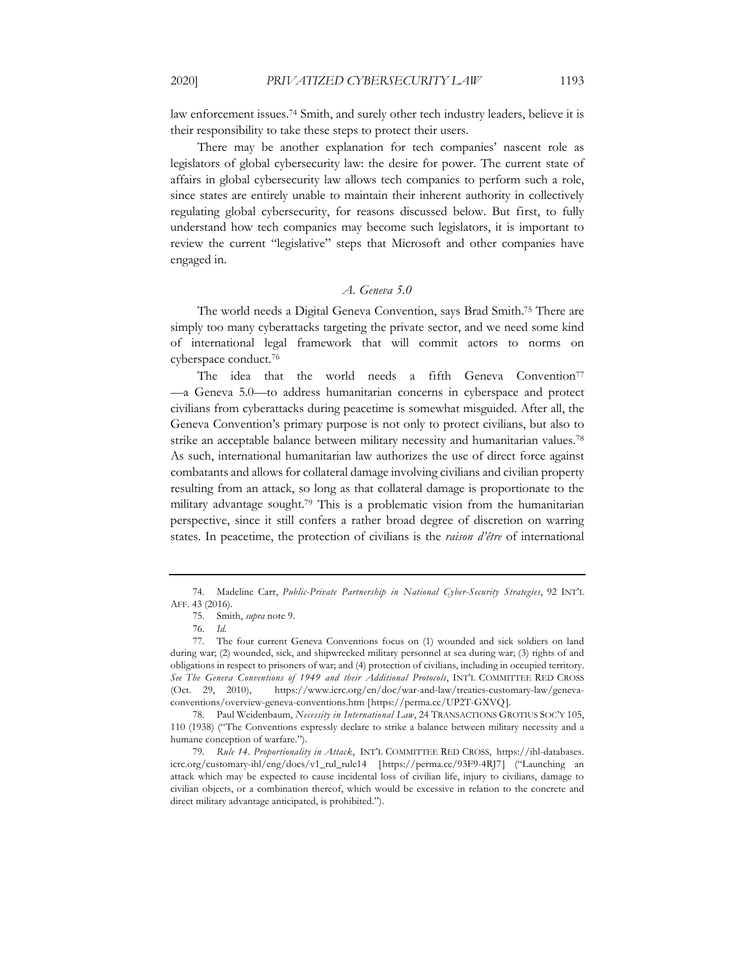law enforcement issues.74 Smith, and surely other tech industry leaders, believe it is their responsibility to take these steps to protect their users.

There may be another explanation for tech companies' nascent role as legislators of global cybersecurity law: the desire for power. The current state of affairs in global cybersecurity law allows tech companies to perform such a role, since states are entirely unable to maintain their inherent authority in collectively regulating global cybersecurity, for reasons discussed below. But first, to fully understand how tech companies may become such legislators, it is important to review the current "legislative" steps that Microsoft and other companies have engaged in.

### *A. Geneva 5.0*

The world needs a Digital Geneva Convention, says Brad Smith.75 There are simply too many cyberattacks targeting the private sector, and we need some kind of international legal framework that will commit actors to norms on cyberspace conduct.76

The idea that the world needs a fifth Geneva Convention<sup>77</sup> —a Geneva 5.0—to address humanitarian concerns in cyberspace and protect civilians from cyberattacks during peacetime is somewhat misguided. After all, the Geneva Convention's primary purpose is not only to protect civilians, but also to strike an acceptable balance between military necessity and humanitarian values.78 As such, international humanitarian law authorizes the use of direct force against combatants and allows for collateral damage involving civilians and civilian property resulting from an attack, so long as that collateral damage is proportionate to the military advantage sought.79 This is a problematic vision from the humanitarian perspective, since it still confers a rather broad degree of discretion on warring states. In peacetime, the protection of civilians is the *raison d'être* of international

<sup>74.</sup> Madeline Carr, *Public-Private Partnership in National Cyber-Security Strategies*, 92 INT'L AFF. 43 (2016).

<sup>75.</sup> Smith, *supra* note 9.

<sup>76.</sup> *Id.*

<sup>77.</sup> The four current Geneva Conventions focus on (1) wounded and sick soldiers on land during war; (2) wounded, sick, and shipwrecked military personnel at sea during war; (3) rights of and obligations in respect to prisoners of war; and (4) protection of civilians, including in occupied territory. *See The Geneva Conventions of 1949 and their Additional Protocols*, INT'L COMMITTEE RED CROSS (Oct. 29, 2010), https://www.icrc.org/en/doc/war-and-law/treaties-customary-law/genevaconventions/overview-geneva-conventions.htm [https://perma.cc/UP2T-GXVQ].

<sup>78.</sup> Paul Weidenbaum, *Necessity in International Law*, 24 TRANSACTIONS GROTIUS SOC'Y 105, 110 (1938) ("The Conventions expressly declare to strike a balance between military necessity and a humane conception of warfare.").

<sup>79.</sup> *Rule 14. Proportionality in Attack*, INT'L COMMITTEE RED CROSS, https://ihl-databases. icrc.org/customary-ihl/eng/docs/v1\_rul\_rule14 [https://perma.cc/93F9-4RJ7] ("Launching an attack which may be expected to cause incidental loss of civilian life, injury to civilians, damage to civilian objects, or a combination thereof, which would be excessive in relation to the concrete and direct military advantage anticipated, is prohibited.").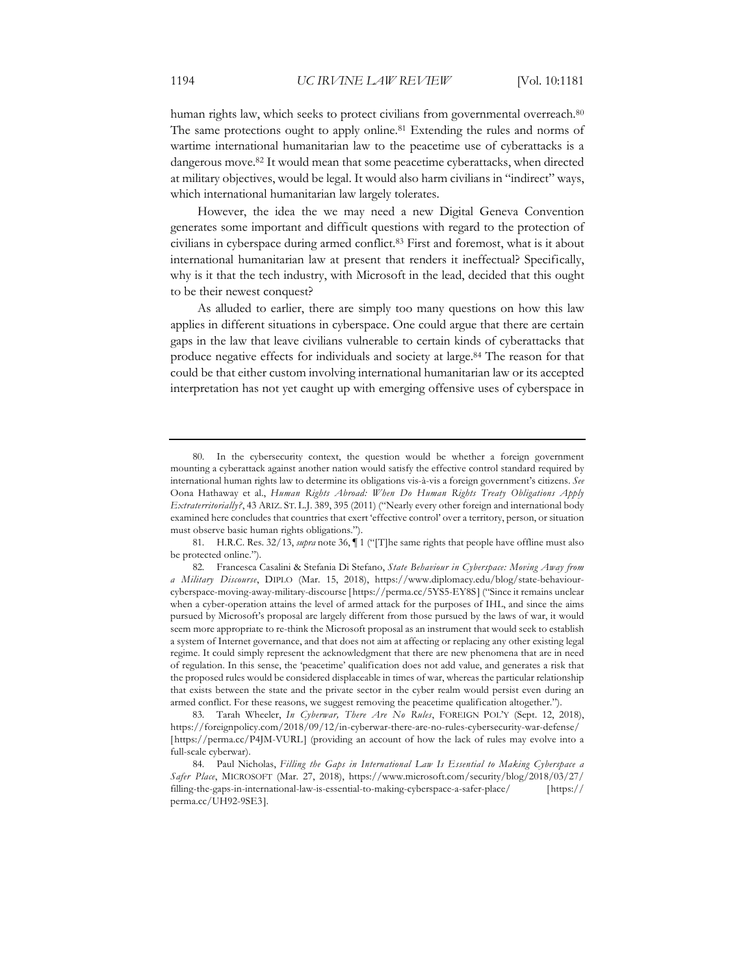human rights law, which seeks to protect civilians from governmental overreach.<sup>80</sup> The same protections ought to apply online.81 Extending the rules and norms of wartime international humanitarian law to the peacetime use of cyberattacks is a dangerous move.82 It would mean that some peacetime cyberattacks, when directed at military objectives, would be legal. It would also harm civilians in "indirect" ways, which international humanitarian law largely tolerates.

However, the idea the we may need a new Digital Geneva Convention generates some important and difficult questions with regard to the protection of civilians in cyberspace during armed conflict.83 First and foremost, what is it about international humanitarian law at present that renders it ineffectual? Specifically, why is it that the tech industry, with Microsoft in the lead, decided that this ought to be their newest conquest?

As alluded to earlier, there are simply too many questions on how this law applies in different situations in cyberspace. One could argue that there are certain gaps in the law that leave civilians vulnerable to certain kinds of cyberattacks that produce negative effects for individuals and society at large.84 The reason for that could be that either custom involving international humanitarian law or its accepted interpretation has not yet caught up with emerging offensive uses of cyberspace in

81. H.R.C. Res. 32/13, *supra* note 36, ¶ 1 ("[T]he same rights that people have offline must also be protected online.").

82. Francesca Casalini & Stefania Di Stefano, *State Behaviour in Cyberspace: Moving Away from a Military Discourse*, DIPLO (Mar. 15, 2018), https://www.diplomacy.edu/blog/state-behaviourcyberspace-moving-away-military-discourse [https://perma.cc/5YS5-EY8S] ("Since it remains unclear when a cyber-operation attains the level of armed attack for the purposes of IHL, and since the aims pursued by Microsoft's proposal are largely different from those pursued by the laws of war, it would seem more appropriate to re-think the Microsoft proposal as an instrument that would seek to establish a system of Internet governance, and that does not aim at affecting or replacing any other existing legal regime. It could simply represent the acknowledgment that there are new phenomena that are in need of regulation. In this sense, the 'peacetime' qualification does not add value, and generates a risk that the proposed rules would be considered displaceable in times of war, whereas the particular relationship that exists between the state and the private sector in the cyber realm would persist even during an armed conflict. For these reasons, we suggest removing the peacetime qualification altogether.").

83. Tarah Wheeler, *In Cyberwar, There Are No Rules*, FOREIGN POL'Y (Sept. 12, 2018), https://foreignpolicy.com/2018/09/12/in-cyberwar-there-are-no-rules-cybersecurity-war-defense/ [https://perma.cc/P4JM-VURL] (providing an account of how the lack of rules may evolve into a full-scale cyberwar).

<sup>80.</sup> In the cybersecurity context, the question would be whether a foreign government mounting a cyberattack against another nation would satisfy the effective control standard required by international human rights law to determine its obligations vis-à-vis a foreign government's citizens. *See* Oona Hathaway et al., *Human Rights Abroad: When Do Human Rights Treaty Obligations Apply Extraterritorially?*, 43 ARIZ. ST. L.J. 389, 395 (2011) ("Nearly every other foreign and international body examined here concludes that countries that exert 'effective control' over a territory, person, or situation must observe basic human rights obligations.").

<sup>84.</sup> Paul Nicholas, *Filling the Gaps in International Law Is Essential to Making Cyberspace a Safer Place*, MICROSOFT (Mar. 27, 2018), https://www.microsoft.com/security/blog/2018/03/27/ filling-the-gaps-in-international-law-is-essential-to-making-cyberspace-a-safer-place/ [https:// perma.cc/UH92-9SE3].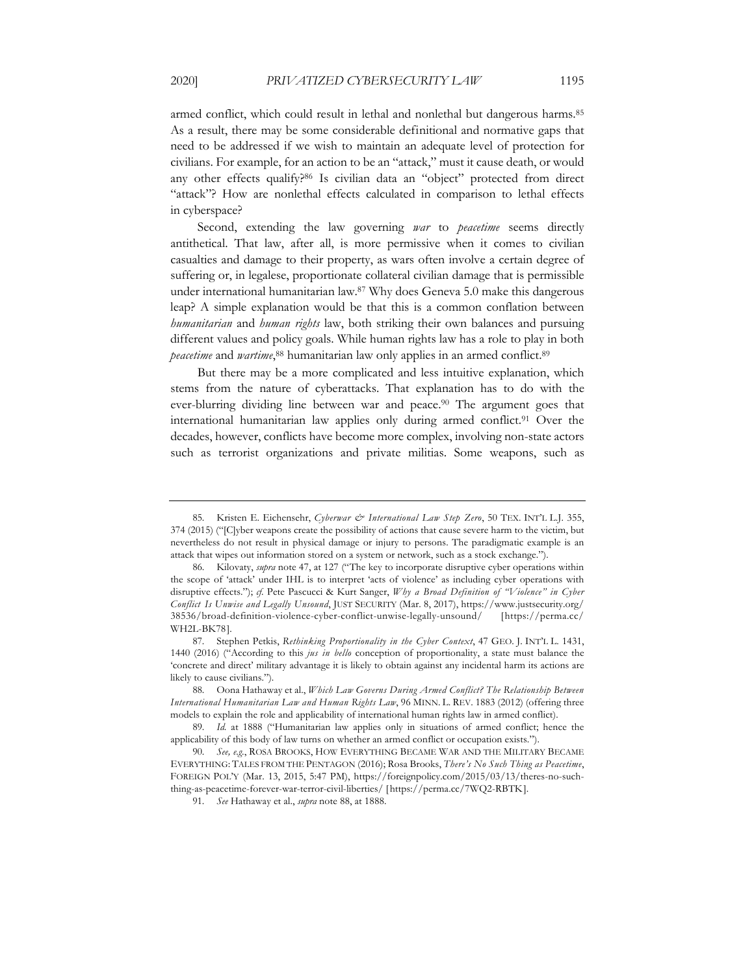armed conflict, which could result in lethal and nonlethal but dangerous harms.<sup>85</sup> As a result, there may be some considerable definitional and normative gaps that need to be addressed if we wish to maintain an adequate level of protection for civilians. For example, for an action to be an "attack," must it cause death, or would any other effects qualify?86 Is civilian data an "object" protected from direct "attack"? How are nonlethal effects calculated in comparison to lethal effects in cyberspace?

Second, extending the law governing *war* to *peacetime* seems directly antithetical. That law, after all, is more permissive when it comes to civilian casualties and damage to their property, as wars often involve a certain degree of suffering or, in legalese, proportionate collateral civilian damage that is permissible under international humanitarian law.87 Why does Geneva 5.0 make this dangerous leap? A simple explanation would be that this is a common conflation between *humanitarian* and *human rights* law, both striking their own balances and pursuing different values and policy goals. While human rights law has a role to play in both *peacetime* and *wartime*, <sup>88</sup> humanitarian law only applies in an armed conflict.89

But there may be a more complicated and less intuitive explanation, which stems from the nature of cyberattacks. That explanation has to do with the ever-blurring dividing line between war and peace.<sup>90</sup> The argument goes that international humanitarian law applies only during armed conflict.<sup>91</sup> Over the decades, however, conflicts have become more complex, involving non-state actors such as terrorist organizations and private militias. Some weapons, such as

<sup>85.</sup> Kristen E. Eichensehr, *Cyberwar & International Law Step Zero*, 50 TEX. INT'L L.J. 355, 374 (2015) ("[C]yber weapons create the possibility of actions that cause severe harm to the victim, but nevertheless do not result in physical damage or injury to persons. The paradigmatic example is an attack that wipes out information stored on a system or network, such as a stock exchange.").

<sup>86.</sup> Kilovaty, *supra* note 47, at 127 ("The key to incorporate disruptive cyber operations within the scope of 'attack' under IHL is to interpret 'acts of violence' as including cyber operations with disruptive effects."); *cf.* Pete Pascucci & Kurt Sanger, *Why a Broad Definition of "Violence" in Cyber Conflict Is Unwise and Legally Unsound*, JUST SECURITY (Mar. 8, 2017), https://www.justsecurity.org/ 38536/broad-definition-violence-cyber-conflict-unwise-legally-unsound/ [https://perma.cc/ WH2L-BK78].

<sup>87.</sup> Stephen Petkis, *Rethinking Proportionality in the Cyber Context*, 47 GEO. J. INT'L L. 1431, 1440 (2016) ("According to this *jus in bello* conception of proportionality, a state must balance the 'concrete and direct' military advantage it is likely to obtain against any incidental harm its actions are likely to cause civilians.").

<sup>88.</sup> Oona Hathaway et al., *Which Law Governs During Armed Conflict? The Relationship Between International Humanitarian Law and Human Rights Law*, 96 MINN. L. REV. 1883 (2012) (offering three models to explain the role and applicability of international human rights law in armed conflict).

<sup>89.</sup> *Id.* at 1888 ("Humanitarian law applies only in situations of armed conflict; hence the applicability of this body of law turns on whether an armed conflict or occupation exists.").

<sup>90.</sup> *See, e.g.*, ROSA BROOKS, HOW EVERYTHING BECAME WAR AND THE MILITARY BECAME EVERYTHING: TALES FROM THE PENTAGON (2016); Rosa Brooks, *There's No Such Thing as Peacetime*, FOREIGN POL'Y (Mar. 13, 2015, 5:47 PM), https://foreignpolicy.com/2015/03/13/theres-no-suchthing-as-peacetime-forever-war-terror-civil-liberties/ [https://perma.cc/7WQ2-RBTK].

<sup>91.</sup> *See* Hathaway et al., *supra* note 88, at 1888.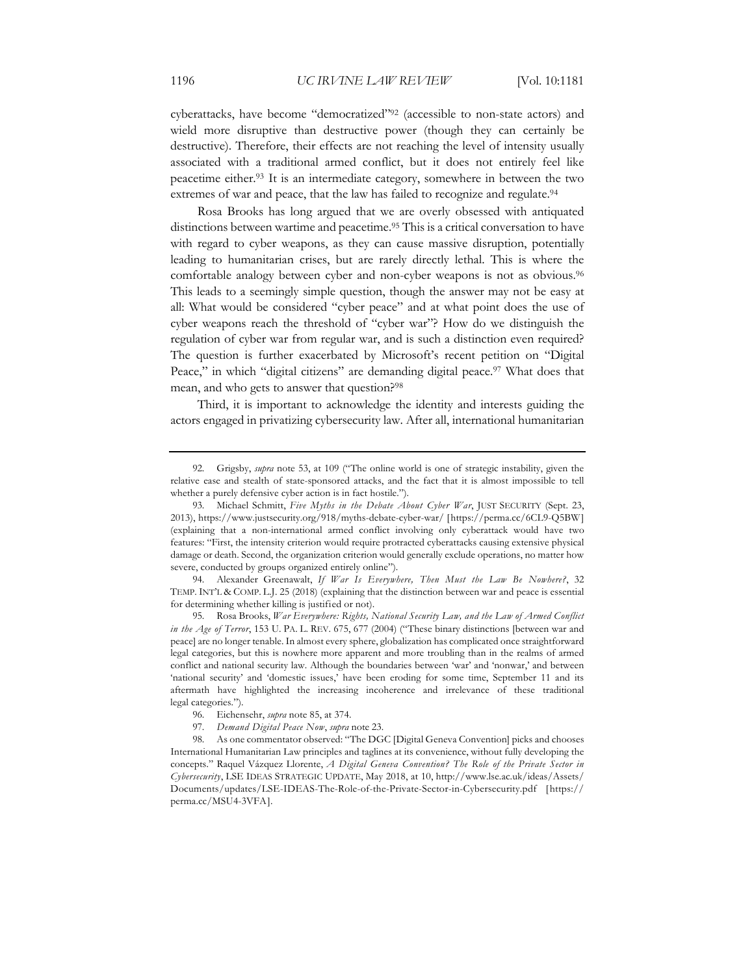cyberattacks, have become "democratized"92 (accessible to non-state actors) and wield more disruptive than destructive power (though they can certainly be destructive). Therefore, their effects are not reaching the level of intensity usually associated with a traditional armed conflict, but it does not entirely feel like peacetime either.93 It is an intermediate category, somewhere in between the two extremes of war and peace, that the law has failed to recognize and regulate.<sup>94</sup>

Rosa Brooks has long argued that we are overly obsessed with antiquated distinctions between wartime and peacetime.<sup>95</sup> This is a critical conversation to have with regard to cyber weapons, as they can cause massive disruption, potentially leading to humanitarian crises, but are rarely directly lethal. This is where the comfortable analogy between cyber and non-cyber weapons is not as obvious.96 This leads to a seemingly simple question, though the answer may not be easy at all: What would be considered "cyber peace" and at what point does the use of cyber weapons reach the threshold of "cyber war"? How do we distinguish the regulation of cyber war from regular war, and is such a distinction even required? The question is further exacerbated by Microsoft's recent petition on "Digital Peace," in which "digital citizens" are demanding digital peace.<sup>97</sup> What does that mean, and who gets to answer that question?<sup>98</sup>

Third, it is important to acknowledge the identity and interests guiding the actors engaged in privatizing cybersecurity law. After all, international humanitarian

<sup>92.</sup> Grigsby, *supra* note 53, at 109 ("The online world is one of strategic instability, given the relative ease and stealth of state-sponsored attacks, and the fact that it is almost impossible to tell whether a purely defensive cyber action is in fact hostile.").

<sup>93.</sup> Michael Schmitt, *Five Myths in the Debate About Cyber War*, JUST SECURITY (Sept. 23, 2013), https://www.justsecurity.org/918/myths-debate-cyber-war/ [https://perma.cc/6CL9-Q5BW] (explaining that a non-international armed conflict involving only cyberattack would have two features: "First, the intensity criterion would require protracted cyberattacks causing extensive physical damage or death. Second, the organization criterion would generally exclude operations, no matter how severe, conducted by groups organized entirely online").

<sup>94.</sup> Alexander Greenawalt, *If War Is Everywhere, Then Must the Law Be Nowhere?*, 32 TEMP. INT'L & COMP. L.J. 25 (2018) (explaining that the distinction between war and peace is essential for determining whether killing is justified or not).

<sup>95.</sup> Rosa Brooks, *War Everywhere: Rights, National Security Law, and the Law of Armed Conflict in the Age of Terror*, 153 U. PA. L. REV. 675, 677 (2004) ("These binary distinctions [between war and peace] are no longer tenable. In almost every sphere, globalization has complicated once straightforward legal categories, but this is nowhere more apparent and more troubling than in the realms of armed conflict and national security law. Although the boundaries between 'war' and 'nonwar,' and between 'national security' and 'domestic issues,' have been eroding for some time, September 11 and its aftermath have highlighted the increasing incoherence and irrelevance of these traditional legal categories.").

<sup>96.</sup> Eichensehr, *supra* note 85, at 374.

<sup>97.</sup> *Demand Digital Peace Now*, *supra* note 23.

<sup>98.</sup> As one commentator observed: "The DGC [Digital Geneva Convention] picks and chooses International Humanitarian Law principles and taglines at its convenience, without fully developing the concepts." Raquel Vázquez Llorente, *A Digital Geneva Convention? The Role of the Private Sector in Cybersecurity*, LSE IDEAS STRATEGIC UPDATE, May 2018, at 10, http://www.lse.ac.uk/ideas/Assets/ Documents/updates/LSE-IDEAS-The-Role-of-the-Private-Sector-in-Cybersecurity.pdf [https:// perma.cc/MSU4-3VFA].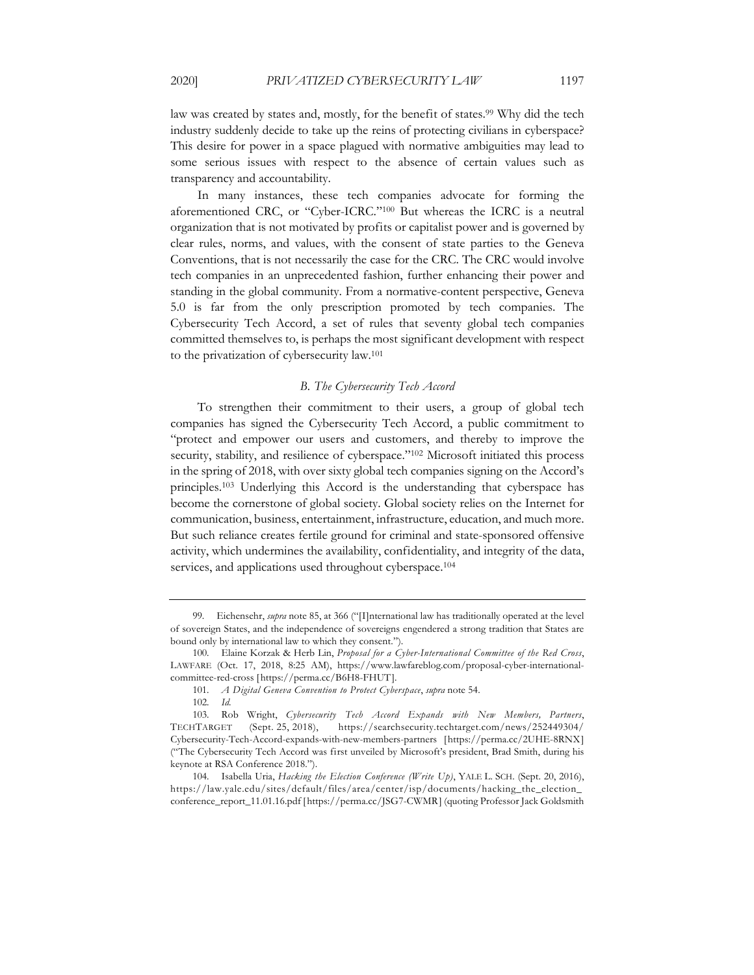law was created by states and, mostly, for the benefit of states.<sup>99</sup> Why did the tech industry suddenly decide to take up the reins of protecting civilians in cyberspace? This desire for power in a space plagued with normative ambiguities may lead to some serious issues with respect to the absence of certain values such as transparency and accountability.

In many instances, these tech companies advocate for forming the aforementioned CRC, or "Cyber-ICRC."100 But whereas the ICRC is a neutral organization that is not motivated by profits or capitalist power and is governed by clear rules, norms, and values, with the consent of state parties to the Geneva Conventions, that is not necessarily the case for the CRC. The CRC would involve tech companies in an unprecedented fashion, further enhancing their power and standing in the global community. From a normative-content perspective, Geneva 5.0 is far from the only prescription promoted by tech companies. The Cybersecurity Tech Accord, a set of rules that seventy global tech companies committed themselves to, is perhaps the most significant development with respect to the privatization of cybersecurity law.101

#### *B. The Cybersecurity Tech Accord*

To strengthen their commitment to their users, a group of global tech companies has signed the Cybersecurity Tech Accord, a public commitment to "protect and empower our users and customers, and thereby to improve the security, stability, and resilience of cyberspace."<sup>102</sup> Microsoft initiated this process in the spring of 2018, with over sixty global tech companies signing on the Accord's principles.103 Underlying this Accord is the understanding that cyberspace has become the cornerstone of global society. Global society relies on the Internet for communication, business, entertainment, infrastructure, education, and much more. But such reliance creates fertile ground for criminal and state-sponsored offensive activity, which undermines the availability, confidentiality, and integrity of the data, services, and applications used throughout cyberspace.<sup>104</sup>

<sup>99.</sup> Eichensehr, *supra* note 85, at 366 ("[I]nternational law has traditionally operated at the level of sovereign States, and the independence of sovereigns engendered a strong tradition that States are bound only by international law to which they consent.").

<sup>100.</sup> Elaine Korzak & Herb Lin, *Proposal for a Cyber-International Committee of the Red Cross*, LAWFARE (Oct. 17, 2018, 8:25 AM), https://www.lawfareblog.com/proposal-cyber-internationalcommittee-red-cross [https://perma.cc/B6H8-FHUT].

<sup>101.</sup> *A Digital Geneva Convention to Protect Cyberspace*, *supra* note 54.

<sup>102.</sup> *Id.*

<sup>103.</sup> Rob Wright, *Cybersecurity Tech Accord Expands with New Members, Partners*, TECHTARGET (Sept. 25, 2018), https://searchsecurity.techtarget.com/news/252449304/ Cybersecurity-Tech-Accord-expands-with-new-members-partners [https://perma.cc/2UHE-8RNX] ("The Cybersecurity Tech Accord was first unveiled by Microsoft's president, Brad Smith, during his keynote at RSA Conference 2018.").

<sup>104.</sup> Isabella Uria, *Hacking the Election Conference (Write Up)*, YALE L. SCH. (Sept. 20, 2016), https://law.yale.edu/sites/default/files/area/center/isp/documents/hacking\_the\_election\_ conference\_report\_11.01.16.pdf [https://perma.cc/JSG7-CWMR] (quoting Professor Jack Goldsmith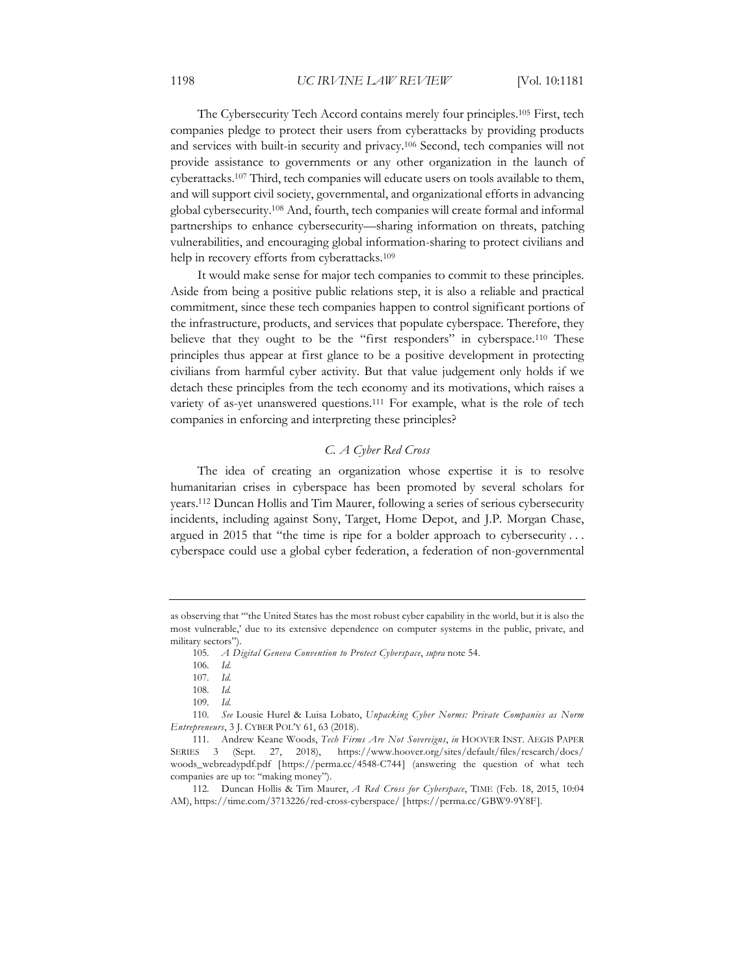The Cybersecurity Tech Accord contains merely four principles.105 First, tech companies pledge to protect their users from cyberattacks by providing products and services with built-in security and privacy.106 Second, tech companies will not provide assistance to governments or any other organization in the launch of cyberattacks.107 Third, tech companies will educate users on tools available to them, and will support civil society, governmental, and organizational efforts in advancing global cybersecurity.108 And, fourth, tech companies will create formal and informal partnerships to enhance cybersecurity—sharing information on threats, patching vulnerabilities, and encouraging global information-sharing to protect civilians and help in recovery efforts from cyberattacks.109

It would make sense for major tech companies to commit to these principles. Aside from being a positive public relations step, it is also a reliable and practical commitment, since these tech companies happen to control significant portions of the infrastructure, products, and services that populate cyberspace. Therefore, they believe that they ought to be the "first responders" in cyberspace.<sup>110</sup> These principles thus appear at first glance to be a positive development in protecting civilians from harmful cyber activity. But that value judgement only holds if we detach these principles from the tech economy and its motivations, which raises a variety of as-yet unanswered questions.111 For example, what is the role of tech companies in enforcing and interpreting these principles?

## *C. A Cyber Red Cross*

The idea of creating an organization whose expertise it is to resolve humanitarian crises in cyberspace has been promoted by several scholars for years.112 Duncan Hollis and Tim Maurer, following a series of serious cybersecurity incidents, including against Sony, Target, Home Depot, and J.P. Morgan Chase, argued in 2015 that "the time is ripe for a bolder approach to cybersecurity . . . cyberspace could use a global cyber federation, a federation of non-governmental

as observing that "'the United States has the most robust cyber capability in the world, but it is also the most vulnerable,' due to its extensive dependence on computer systems in the public, private, and military sectors").

<sup>105.</sup> *A Digital Geneva Convention to Protect Cyberspace*, *supra* note 54.

<sup>106.</sup> *Id.*

<sup>107.</sup> *Id.*

<sup>108.</sup> *Id.*

<sup>109.</sup> *Id.*

<sup>110.</sup> *See* Lousie Hurel & Luisa Lobato, *Unpacking Cyber Norms: Private Companies as Norm Entrepreneurs*, 3 J. CYBER POL'Y 61, 63 (2018).

<sup>111.</sup> Andrew Keane Woods, *Tech Firms Are Not Sovereigns*, *in* HOOVER INST. AEGIS PAPER SERIES 3 (Sept. 27, 2018), https://www.hoover.org/sites/default/files/research/docs/ woods\_webreadypdf.pdf [https://perma.cc/4548-C744] (answering the question of what tech companies are up to: "making money").

<sup>112.</sup> Duncan Hollis & Tim Maurer, *A Red Cross for Cyberspace*, TIME (Feb. 18, 2015, 10:04 AM), https://time.com/3713226/red-cross-cyberspace/ [https://perma.cc/GBW9-9Y8F].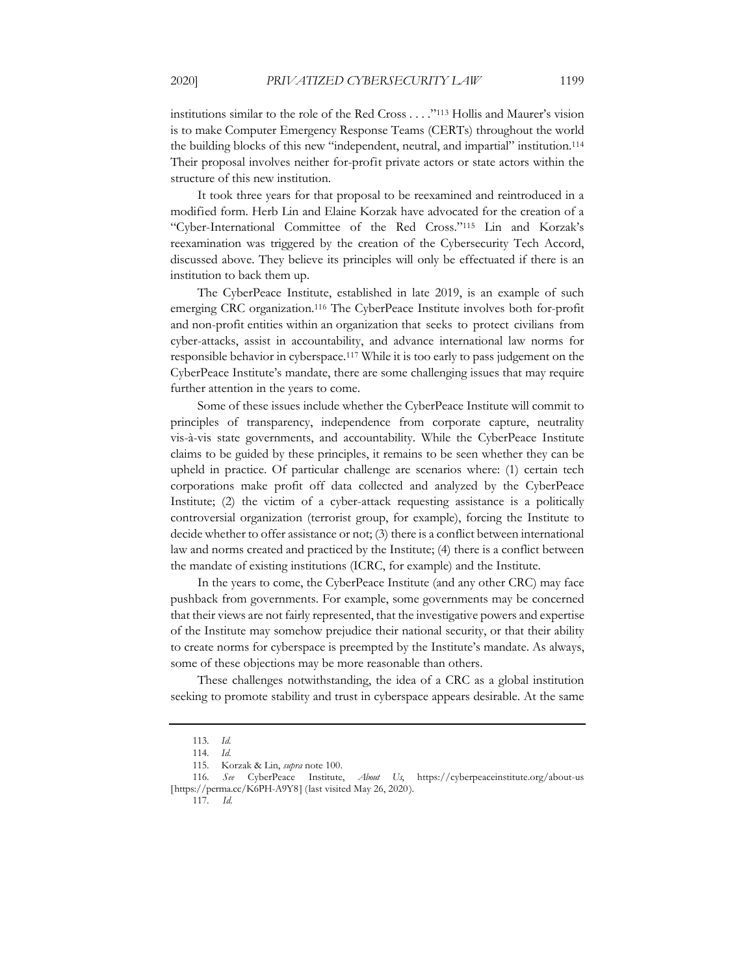institutions similar to the role of the Red Cross . . . ."113 Hollis and Maurer's vision is to make Computer Emergency Response Teams (CERTs) throughout the world the building blocks of this new "independent, neutral, and impartial" institution.114 Their proposal involves neither for-profit private actors or state actors within the structure of this new institution.

It took three years for that proposal to be reexamined and reintroduced in a modified form. Herb Lin and Elaine Korzak have advocated for the creation of a "Cyber-International Committee of the Red Cross."115 Lin and Korzak's reexamination was triggered by the creation of the Cybersecurity Tech Accord, discussed above. They believe its principles will only be effectuated if there is an institution to back them up.

The CyberPeace Institute, established in late 2019, is an example of such emerging CRC organization.116 The CyberPeace Institute involves both for-profit and non-profit entities within an organization that seeks to protect civilians from cyber-attacks, assist in accountability, and advance international law norms for responsible behavior in cyberspace.117 While it is too early to pass judgement on the CyberPeace Institute's mandate, there are some challenging issues that may require further attention in the years to come.

Some of these issues include whether the CyberPeace Institute will commit to principles of transparency, independence from corporate capture, neutrality vis-à-vis state governments, and accountability. While the CyberPeace Institute claims to be guided by these principles, it remains to be seen whether they can be upheld in practice. Of particular challenge are scenarios where: (1) certain tech corporations make profit off data collected and analyzed by the CyberPeace Institute; (2) the victim of a cyber-attack requesting assistance is a politically controversial organization (terrorist group, for example), forcing the Institute to decide whether to offer assistance or not; (3) there is a conflict between international law and norms created and practiced by the Institute; (4) there is a conflict between the mandate of existing institutions (ICRC, for example) and the Institute.

In the years to come, the CyberPeace Institute (and any other CRC) may face pushback from governments. For example, some governments may be concerned that their views are not fairly represented, that the investigative powers and expertise of the Institute may somehow prejudice their national security, or that their ability to create norms for cyberspace is preempted by the Institute's mandate. As always, some of these objections may be more reasonable than others.

These challenges notwithstanding, the idea of a CRC as a global institution seeking to promote stability and trust in cyberspace appears desirable. At the same

<sup>113.</sup> *Id.*

<sup>114.</sup> *Id.*

<sup>115.</sup> Korzak & Lin, *supra* note 100.

<sup>116.</sup> *See* CyberPeace Institute, *About Us*, https://cyberpeaceinstitute.org/about-us [https://perma.cc/K6PH-A9Y8] (last visited May 26, 2020).

<sup>117.</sup> *Id.*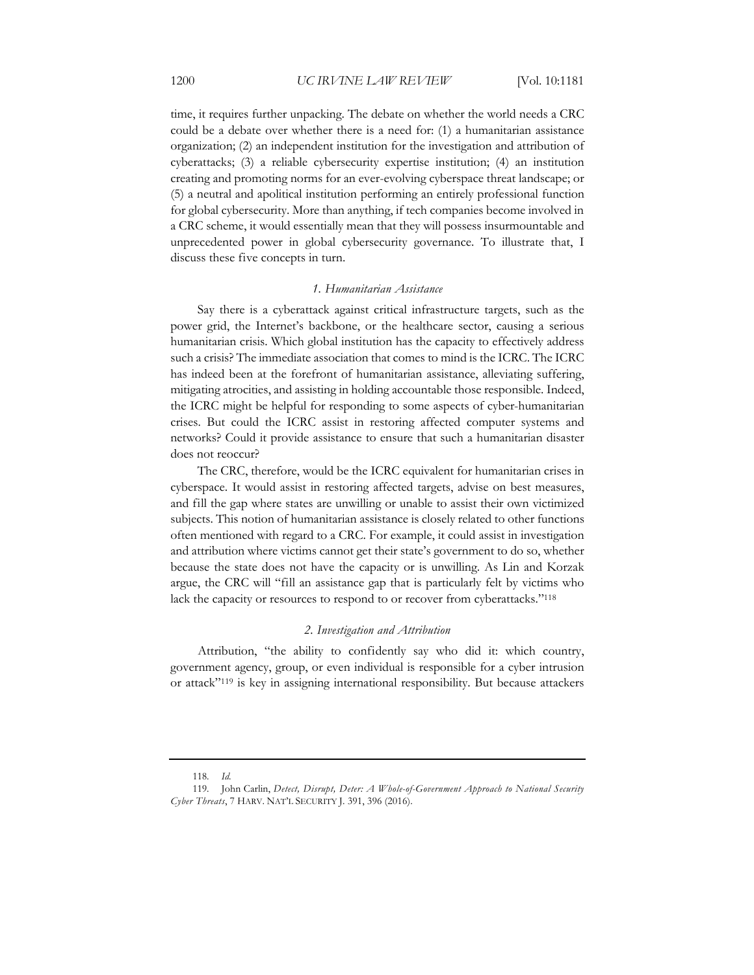time, it requires further unpacking. The debate on whether the world needs a CRC could be a debate over whether there is a need for: (1) a humanitarian assistance organization; (2) an independent institution for the investigation and attribution of cyberattacks; (3) a reliable cybersecurity expertise institution; (4) an institution creating and promoting norms for an ever-evolving cyberspace threat landscape; or (5) a neutral and apolitical institution performing an entirely professional function for global cybersecurity. More than anything, if tech companies become involved in a CRC scheme, it would essentially mean that they will possess insurmountable and unprecedented power in global cybersecurity governance. To illustrate that, I discuss these five concepts in turn.

#### *1. Humanitarian Assistance*

Say there is a cyberattack against critical infrastructure targets, such as the power grid, the Internet's backbone, or the healthcare sector, causing a serious humanitarian crisis. Which global institution has the capacity to effectively address such a crisis? The immediate association that comes to mind is the ICRC. The ICRC has indeed been at the forefront of humanitarian assistance, alleviating suffering, mitigating atrocities, and assisting in holding accountable those responsible. Indeed, the ICRC might be helpful for responding to some aspects of cyber-humanitarian crises. But could the ICRC assist in restoring affected computer systems and networks? Could it provide assistance to ensure that such a humanitarian disaster does not reoccur?

The CRC, therefore, would be the ICRC equivalent for humanitarian crises in cyberspace. It would assist in restoring affected targets, advise on best measures, and fill the gap where states are unwilling or unable to assist their own victimized subjects. This notion of humanitarian assistance is closely related to other functions often mentioned with regard to a CRC. For example, it could assist in investigation and attribution where victims cannot get their state's government to do so, whether because the state does not have the capacity or is unwilling. As Lin and Korzak argue, the CRC will "fill an assistance gap that is particularly felt by victims who lack the capacity or resources to respond to or recover from cyberattacks."118

#### *2. Investigation and Attribution*

Attribution, "the ability to confidently say who did it: which country, government agency, group, or even individual is responsible for a cyber intrusion or attack"119 is key in assigning international responsibility. But because attackers

<sup>118.</sup> *Id.*

<sup>119.</sup> John Carlin, *Detect, Disrupt, Deter: A Whole-of-Government Approach to National Security Cyber Threats*, 7 HARV. NAT'L SECURITY J. 391, 396 (2016).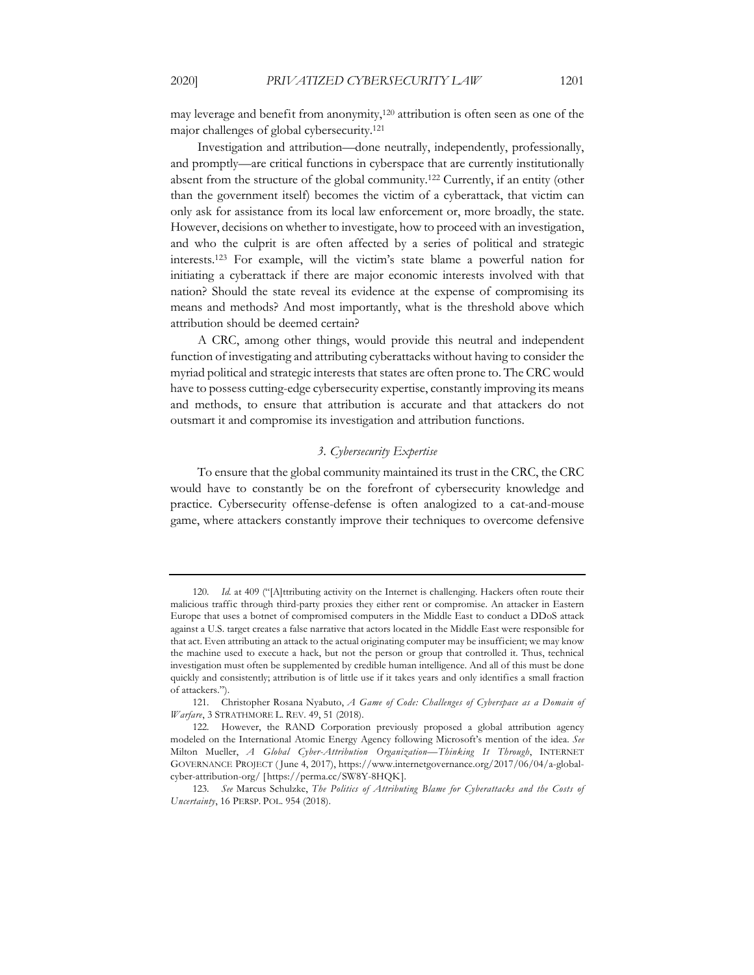may leverage and benefit from anonymity,<sup>120</sup> attribution is often seen as one of the major challenges of global cybersecurity.121

Investigation and attribution—done neutrally, independently, professionally, and promptly—are critical functions in cyberspace that are currently institutionally absent from the structure of the global community.122 Currently, if an entity (other than the government itself) becomes the victim of a cyberattack, that victim can only ask for assistance from its local law enforcement or, more broadly, the state. However, decisions on whether to investigate, how to proceed with an investigation, and who the culprit is are often affected by a series of political and strategic interests.123 For example, will the victim's state blame a powerful nation for initiating a cyberattack if there are major economic interests involved with that nation? Should the state reveal its evidence at the expense of compromising its means and methods? And most importantly, what is the threshold above which attribution should be deemed certain?

A CRC, among other things, would provide this neutral and independent function of investigating and attributing cyberattacks without having to consider the myriad political and strategic interests that states are often prone to. The CRC would have to possess cutting-edge cybersecurity expertise, constantly improving its means and methods, to ensure that attribution is accurate and that attackers do not outsmart it and compromise its investigation and attribution functions.

#### *3. Cybersecurity Expertise*

To ensure that the global community maintained its trust in the CRC, the CRC would have to constantly be on the forefront of cybersecurity knowledge and practice. Cybersecurity offense-defense is often analogized to a cat-and-mouse game, where attackers constantly improve their techniques to overcome defensive

<sup>120.</sup> *Id.* at 409 ("[A]ttributing activity on the Internet is challenging. Hackers often route their malicious traffic through third-party proxies they either rent or compromise. An attacker in Eastern Europe that uses a botnet of compromised computers in the Middle East to conduct a DDoS attack against a U.S. target creates a false narrative that actors located in the Middle East were responsible for that act. Even attributing an attack to the actual originating computer may be insufficient; we may know the machine used to execute a hack, but not the person or group that controlled it. Thus, technical investigation must often be supplemented by credible human intelligence. And all of this must be done quickly and consistently; attribution is of little use if it takes years and only identifies a small fraction of attackers.").

<sup>121.</sup> Christopher Rosana Nyabuto, *A Game of Code: Challenges of Cyberspace as a Domain of Warfare*, 3 STRATHMORE L. REV. 49, 51 (2018).

<sup>122.</sup> However, the RAND Corporation previously proposed a global attribution agency modeled on the International Atomic Energy Agency following Microsoft's mention of the idea. *See*  Milton Mueller, *A Global Cyber-Attribution Organization—Thinking It Through*, INTERNET GOVERNANCE PROJECT ( June 4, 2017), https://www.internetgovernance.org/2017/06/04/a-globalcyber-attribution-org/ [https://perma.cc/SW8Y-8HQK].

<sup>123.</sup> *See* Marcus Schulzke, *The Politics of Attributing Blame for Cyberattacks and the Costs of Uncertainty*, 16 PERSP. POL. 954 (2018).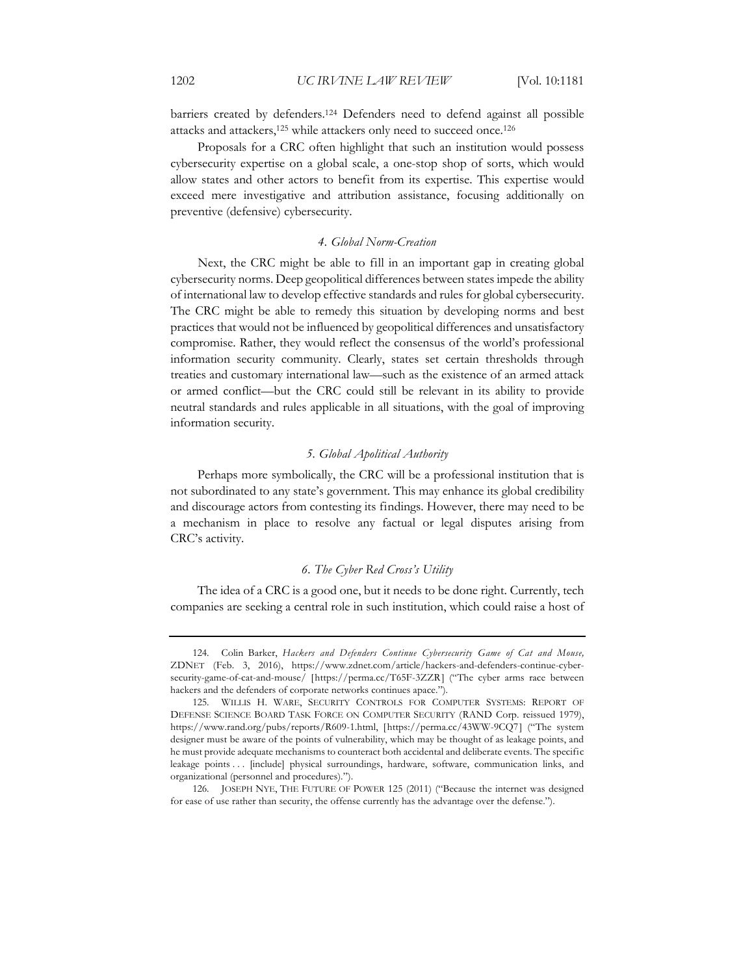barriers created by defenders.124 Defenders need to defend against all possible attacks and attackers,125 while attackers only need to succeed once.126

Proposals for a CRC often highlight that such an institution would possess cybersecurity expertise on a global scale, a one-stop shop of sorts, which would allow states and other actors to benefit from its expertise. This expertise would exceed mere investigative and attribution assistance, focusing additionally on preventive (defensive) cybersecurity.

#### *4. Global Norm-Creation*

Next, the CRC might be able to fill in an important gap in creating global cybersecurity norms. Deep geopolitical differences between states impede the ability of international law to develop effective standards and rules for global cybersecurity. The CRC might be able to remedy this situation by developing norms and best practices that would not be influenced by geopolitical differences and unsatisfactory compromise. Rather, they would reflect the consensus of the world's professional information security community. Clearly, states set certain thresholds through treaties and customary international law—such as the existence of an armed attack or armed conflict—but the CRC could still be relevant in its ability to provide neutral standards and rules applicable in all situations, with the goal of improving information security.

### *5. Global Apolitical Authority*

Perhaps more symbolically, the CRC will be a professional institution that is not subordinated to any state's government. This may enhance its global credibility and discourage actors from contesting its findings. However, there may need to be a mechanism in place to resolve any factual or legal disputes arising from CRC's activity.

## *6. The Cyber Red Cross's Utility*

The idea of a CRC is a good one, but it needs to be done right. Currently, tech companies are seeking a central role in such institution, which could raise a host of

<sup>124.</sup> Colin Barker, *Hackers and Defenders Continue Cybersecurity Game of Cat and Mouse,*  ZDNET (Feb. 3, 2016), https://www.zdnet.com/article/hackers-and-defenders-continue-cybersecurity-game-of-cat-and-mouse/ [https://perma.cc/T65F-3ZZR] ("The cyber arms race between hackers and the defenders of corporate networks continues apace.").

<sup>125.</sup> WILLIS H. WARE, SECURITY CONTROLS FOR COMPUTER SYSTEMS: REPORT OF DEFENSE SCIENCE BOARD TASK FORCE ON COMPUTER SECURITY (RAND Corp. reissued 1979), https://www.rand.org/pubs/reports/R609-1.html, [https://perma.cc/43WW-9CQ7] ("The system designer must be aware of the points of vulnerability, which may be thought of as leakage points, and he must provide adequate mechanisms to counteract both accidental and deliberate events. The specific leakage points . . . [include] physical surroundings, hardware, software, communication links, and organizational (personnel and procedures).").

<sup>126.</sup> JOSEPH NYE, THE FUTURE OF POWER 125 (2011) ("Because the internet was designed for ease of use rather than security, the offense currently has the advantage over the defense.").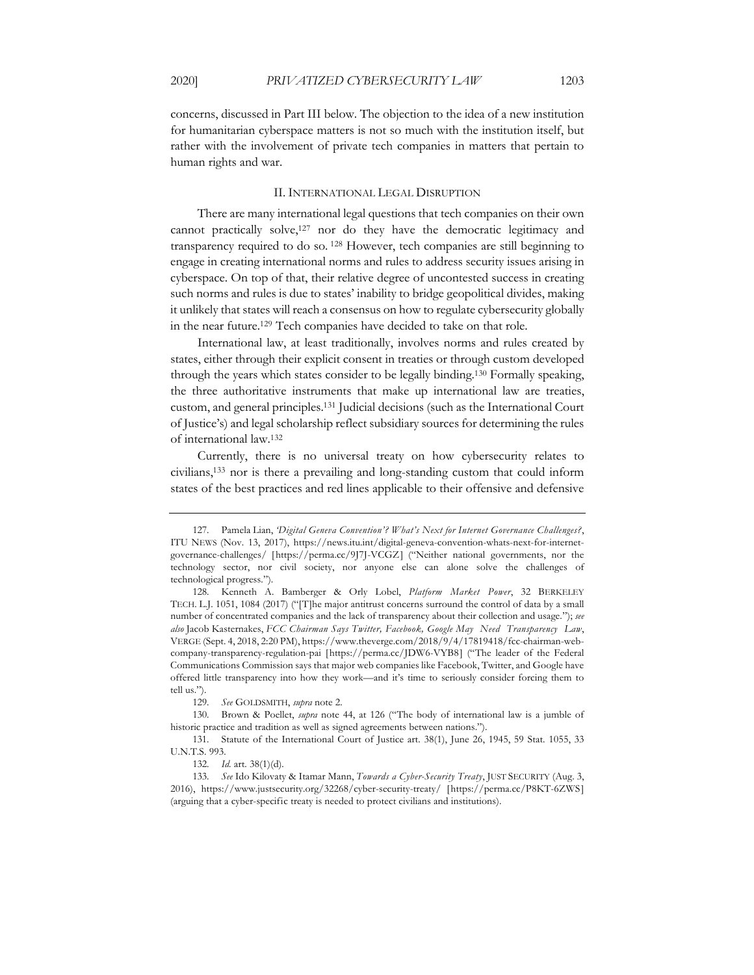concerns, discussed in Part III below. The objection to the idea of a new institution for humanitarian cyberspace matters is not so much with the institution itself, but rather with the involvement of private tech companies in matters that pertain to human rights and war.

#### II. INTERNATIONAL LEGAL DISRUPTION

There are many international legal questions that tech companies on their own cannot practically solve,<sup>127</sup> nor do they have the democratic legitimacy and transparency required to do so. <sup>128</sup> However, tech companies are still beginning to engage in creating international norms and rules to address security issues arising in cyberspace. On top of that, their relative degree of uncontested success in creating such norms and rules is due to states' inability to bridge geopolitical divides, making it unlikely that states will reach a consensus on how to regulate cybersecurity globally in the near future.129 Tech companies have decided to take on that role.

International law, at least traditionally, involves norms and rules created by states, either through their explicit consent in treaties or through custom developed through the years which states consider to be legally binding.130 Formally speaking, the three authoritative instruments that make up international law are treaties, custom, and general principles.131 Judicial decisions (such as the International Court of Justice's) and legal scholarship reflect subsidiary sources for determining the rules of international law.132

Currently, there is no universal treaty on how cybersecurity relates to civilians,133 nor is there a prevailing and long-standing custom that could inform states of the best practices and red lines applicable to their offensive and defensive

<sup>127.</sup> Pamela Lian, *'Digital Geneva Convention'? What's Next for Internet Governance Challenges?*, ITU NEWS (Nov. 13, 2017), https://news.itu.int/digital-geneva-convention-whats-next-for-internetgovernance-challenges/ [https://perma.cc/9J7J-VCGZ] ("Neither national governments, nor the technology sector, nor civil society, nor anyone else can alone solve the challenges of technological progress.").

<sup>128.</sup> Kenneth A. Bamberger & Orly Lobel, *Platform Market Power*, 32 BERKELEY TECH. L.J. 1051, 1084 (2017) ("[T]he major antitrust concerns surround the control of data by a small number of concentrated companies and the lack of transparency about their collection and usage."); *see also* Jacob Kasternakes, *FCC Chairman Says Twitter, Facebook, Google May Need Transparency Law*, VERGE (Sept. 4, 2018, 2:20 PM), https://www.theverge.com/2018/9/4/17819418/fcc-chairman-webcompany-transparency-regulation-pai [https://perma.cc/JDW6-VYB8] ("The leader of the Federal Communications Commission says that major web companies like Facebook, Twitter, and Google have offered little transparency into how they work—and it's time to seriously consider forcing them to tell us.").

<sup>129.</sup> *See* GOLDSMITH, *supra* note 2.

<sup>130.</sup> Brown & Poellet, *supra* note 44, at 126 ("The body of international law is a jumble of historic practice and tradition as well as signed agreements between nations.").

<sup>131.</sup> Statute of the International Court of Justice art. 38(1), June 26, 1945, 59 Stat. 1055, 33 U.N.T.S. 993.

<sup>132.</sup> *Id.* art. 38(1)(d).

<sup>133.</sup> *See* Ido Kilovaty & Itamar Mann, *Towards a Cyber-Security Treaty*, JUST SECURITY (Aug. 3, 2016), https://www.justsecurity.org/32268/cyber-security-treaty/ [https://perma.cc/P8KT-6ZWS] (arguing that a cyber-specific treaty is needed to protect civilians and institutions).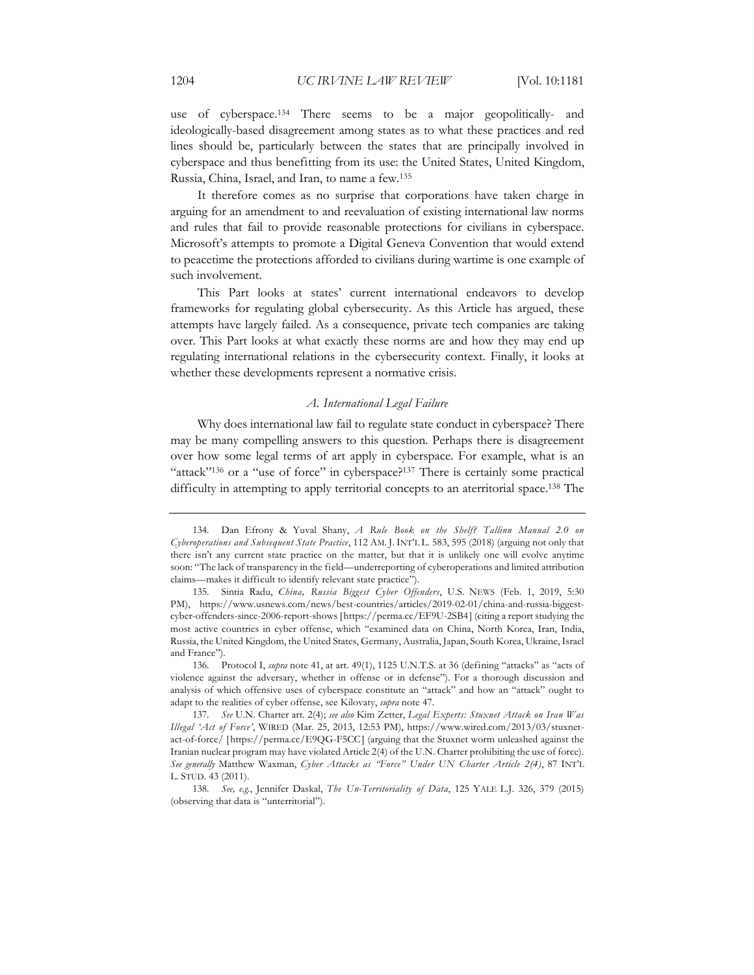use of cyberspace.134 There seems to be a major geopolitically- and ideologically-based disagreement among states as to what these practices and red lines should be, particularly between the states that are principally involved in cyberspace and thus benefitting from its use: the United States, United Kingdom, Russia, China, Israel, and Iran, to name a few.135

It therefore comes as no surprise that corporations have taken charge in arguing for an amendment to and reevaluation of existing international law norms and rules that fail to provide reasonable protections for civilians in cyberspace. Microsoft's attempts to promote a Digital Geneva Convention that would extend to peacetime the protections afforded to civilians during wartime is one example of such involvement.

This Part looks at states' current international endeavors to develop frameworks for regulating global cybersecurity. As this Article has argued, these attempts have largely failed. As a consequence, private tech companies are taking over. This Part looks at what exactly these norms are and how they may end up regulating international relations in the cybersecurity context. Finally, it looks at whether these developments represent a normative crisis.

#### *A. International Legal Failure*

Why does international law fail to regulate state conduct in cyberspace? There may be many compelling answers to this question. Perhaps there is disagreement over how some legal terms of art apply in cyberspace. For example, what is an "attack"<sup>136</sup> or a "use of force" in cyberspace?<sup>137</sup> There is certainly some practical difficulty in attempting to apply territorial concepts to an aterritorial space.<sup>138</sup> The

<sup>134.</sup> Dan Efrony & Yuval Shany, *A Rule Book on the Shelf? Tallinn Manual 2.0 on Cyberoperations and Subsequent State Practice*, 112 AM. J. INT'L L. 583, 595 (2018) (arguing not only that there isn't any current state practice on the matter, but that it is unlikely one will evolve anytime soon: "The lack of transparency in the field—underreporting of cyberoperations and limited attribution claims—makes it difficult to identify relevant state practice").

<sup>135.</sup> Sintia Radu, *China, Russia Biggest Cyber Offenders*, U.S. NEWS (Feb. 1, 2019, 5:30 PM), https://www.usnews.com/news/best-countries/articles/2019-02-01/china-and-russia-biggestcyber-offenders-since-2006-report-shows [https://perma.cc/EF9U-2SB4] (citing a report studying the most active countries in cyber offense, which "examined data on China, North Korea, Iran, India, Russia, the United Kingdom, the United States, Germany, Australia, Japan, South Korea, Ukraine, Israel and France").

<sup>136.</sup> Protocol I, *supra* note 41, at art. 49(1), 1125 U.N.T.S. at 36 (defining "attacks" as "acts of violence against the adversary, whether in offense or in defense"). For a thorough discussion and analysis of which offensive uses of cyberspace constitute an "attack" and how an "attack" ought to adapt to the realities of cyber offense, see Kilovaty, *supra* note 47.

<sup>137.</sup> *See* U.N. Charter art. 2(4); *see also* Kim Zetter, *Legal Experts: Stuxnet Attack on Iran Was Illegal 'Act of Force'*, WIRED (Mar. 25, 2013, 12:53 PM), https://www.wired.com/2013/03/stuxnetact-of-force/ [https://perma.cc/E9QG-F5CC] (arguing that the Stuxnet worm unleashed against the Iranian nuclear program may have violated Article 2(4) of the U.N. Charter prohibiting the use of force). *See generally* Matthew Waxman, *Cyber Attacks as "Force" Under UN Charter Article 2(4)*, 87 INT'L L. STUD. 43 (2011).

<sup>138.</sup> *See, e.g.*, Jennifer Daskal, *The Un-Territoriality of Data*, 125 YALE L.J. 326, 379 (2015) (observing that data is "unterritorial").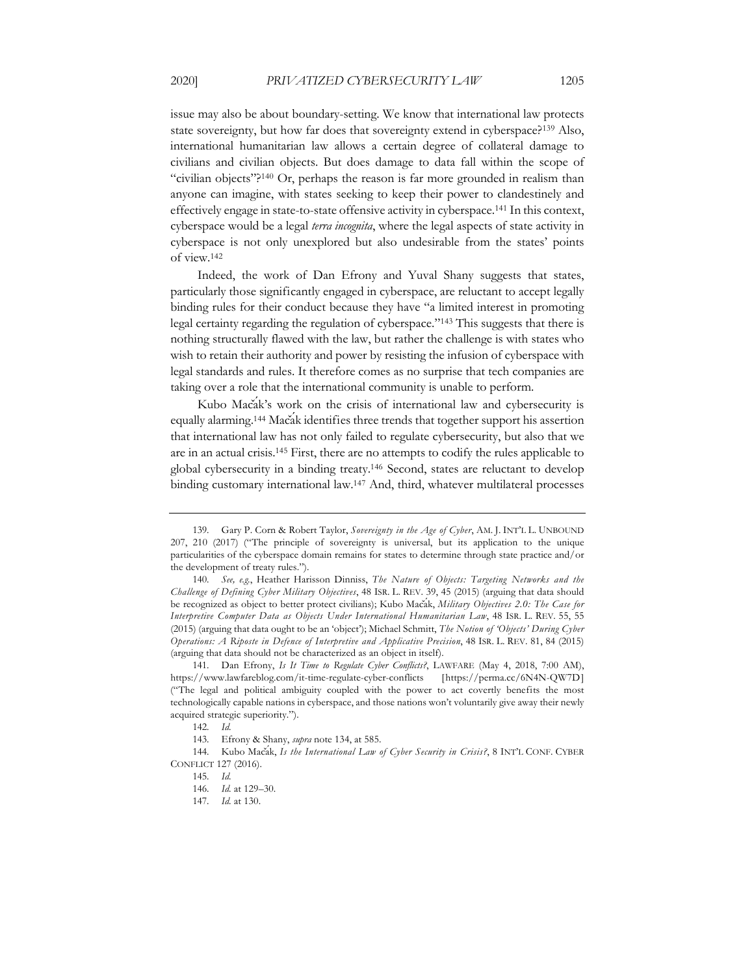issue may also be about boundary-setting. We know that international law protects state sovereignty, but how far does that sovereignty extend in cyberspace?139 Also, international humanitarian law allows a certain degree of collateral damage to civilians and civilian objects. But does damage to data fall within the scope of "civilian objects"?<sup>140</sup> Or, perhaps the reason is far more grounded in realism than anyone can imagine, with states seeking to keep their power to clandestinely and effectively engage in state-to-state offensive activity in cyberspace.141 In this context, cyberspace would be a legal *terra incognita*, where the legal aspects of state activity in cyberspace is not only unexplored but also undesirable from the states' points of view.142

Indeed, the work of Dan Efrony and Yuval Shany suggests that states, particularly those significantly engaged in cyberspace, are reluctant to accept legally binding rules for their conduct because they have "a limited interest in promoting legal certainty regarding the regulation of cyberspace."143 This suggests that there is nothing structurally flawed with the law, but rather the challenge is with states who wish to retain their authority and power by resisting the infusion of cyberspace with legal standards and rules. It therefore comes as no surprise that tech companies are taking over a role that the international community is unable to perform.

Kubo Macak's work on the crisis of international law and cybersecurity is equally alarming.<sup>144</sup> Macak identifies three trends that together support his assertion that international law has not only failed to regulate cybersecurity, but also that we are in an actual crisis.145 First, there are no attempts to codify the rules applicable to global cybersecurity in a binding treaty.146 Second, states are reluctant to develop binding customary international law.147 And, third, whatever multilateral processes

<sup>139.</sup> Gary P. Corn & Robert Taylor, *Sovereignty in the Age of Cyber*, AM. J. INT'L L. UNBOUND 207, 210 (2017) ("The principle of sovereignty is universal, but its application to the unique particularities of the cyberspace domain remains for states to determine through state practice and/or the development of treaty rules.").

<sup>140.</sup> *See, e.g.*, Heather Harisson Dinniss, *The Nature of Objects: Targeting Networks and the Challenge of Defining Cyber Military Objectives*, 48 ISR. L. REV. 39, 45 (2015) (arguing that data should be recognized as object to better protect civilians); Kubo Macak, *Military Objectives 2.0: The Case for Interpretive Computer Data as Objects Under International Humanitarian Law*, 48 ISR. L. REV. 55, 55 (2015) (arguing that data ought to be an 'object'); Michael Schmitt, *The Notion of 'Objects' During Cyber Operations: A Riposte in Defence of Interpretive and Applicative Precision*, 48 ISR. L. REV. 81, 84 (2015) (arguing that data should not be characterized as an object in itself).

<sup>141.</sup> Dan Efrony, *Is It Time to Regulate Cyber Conflicts?*, LAWFARE (May 4, 2018, 7:00 AM), https://www.lawfareblog.com/it-time-regulate-cyber-conflicts [https://perma.cc/6N4N-QW7D] ("The legal and political ambiguity coupled with the power to act covertly benefits the most technologically capable nations in cyberspace, and those nations won't voluntarily give away their newly acquired strategic superiority.").

<sup>142.</sup> *Id.*

<sup>143.</sup> Efrony & Shany, *supra* note 134, at 585.

<sup>144.</sup> Kubo Macak, Is the International Law of Cyber Security in Crisis?, 8 INT<sup>'</sup>L CONF. CYBER CONFLICT 127 (2016).

<sup>145.</sup> *Id.*

<sup>146.</sup> *Id.* at 129–30.

<sup>147.</sup> *Id.* at 130.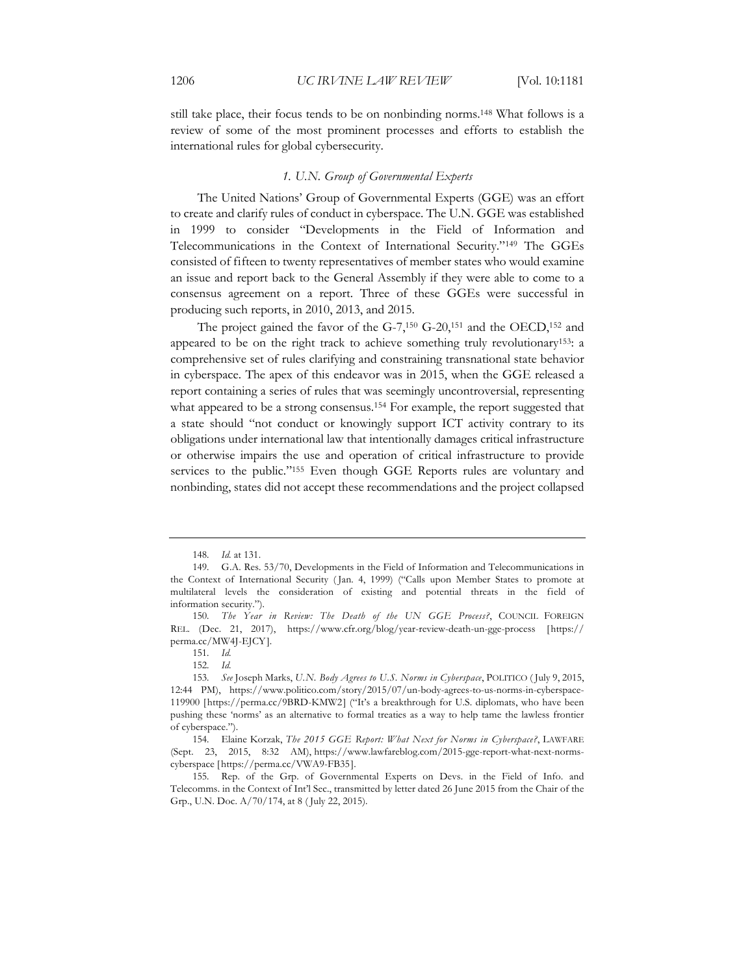still take place, their focus tends to be on nonbinding norms.148 What follows is a review of some of the most prominent processes and efforts to establish the international rules for global cybersecurity.

#### *1. U.N. Group of Governmental Experts*

The United Nations' Group of Governmental Experts (GGE) was an effort to create and clarify rules of conduct in cyberspace. The U.N. GGE was established in 1999 to consider "Developments in the Field of Information and Telecommunications in the Context of International Security."149 The GGEs consisted of fifteen to twenty representatives of member states who would examine an issue and report back to the General Assembly if they were able to come to a consensus agreement on a report. Three of these GGEs were successful in producing such reports, in 2010, 2013, and 2015.

The project gained the favor of the G-7,150 G-20,151 and the OECD,152 and appeared to be on the right track to achieve something truly revolutionary<sup>153</sup>: a comprehensive set of rules clarifying and constraining transnational state behavior in cyberspace. The apex of this endeavor was in 2015, when the GGE released a report containing a series of rules that was seemingly uncontroversial, representing what appeared to be a strong consensus.<sup>154</sup> For example, the report suggested that a state should "not conduct or knowingly support ICT activity contrary to its obligations under international law that intentionally damages critical infrastructure or otherwise impairs the use and operation of critical infrastructure to provide services to the public."155 Even though GGE Reports rules are voluntary and nonbinding, states did not accept these recommendations and the project collapsed

<sup>148.</sup> *Id.* at 131.

<sup>149.</sup> G.A. Res. 53/70, Developments in the Field of Information and Telecommunications in the Context of International Security ( Jan. 4, 1999) ("Calls upon Member States to promote at multilateral levels the consideration of existing and potential threats in the field of information security.").

<sup>150.</sup> *The Year in Review: The Death of the UN GGE Process?*, COUNCIL FOREIGN REL. (Dec. 21, 2017), https://www.cfr.org/blog/year-review-death-un-gge-process [https:// perma.cc/MW4J-EJCY].

<sup>151.</sup> *Id.*

<sup>152.</sup> *Id.*

<sup>153.</sup> *See* Joseph Marks, *U.N. Body Agrees to U.S. Norms in Cyberspace*, POLITICO ( July 9, 2015, 12:44 PM), https://www.politico.com/story/2015/07/un-body-agrees-to-us-norms-in-cyberspace-119900 [https://perma.cc/9BRD-KMW2] ("It's a breakthrough for U.S. diplomats, who have been pushing these 'norms' as an alternative to formal treaties as a way to help tame the lawless frontier of cyberspace.").

<sup>154.</sup> Elaine Korzak, *The 2015 GGE Report: What Next for Norms in Cyberspace?*, LAWFARE (Sept. 23, 2015, 8:32 AM), https://www.lawfareblog.com/2015-gge-report-what-next-normscyberspace [https://perma.cc/VWA9-FB35].

<sup>155.</sup> Rep. of the Grp. of Governmental Experts on Devs. in the Field of Info. and Telecomms. in the Context of Int'l Sec., transmitted by letter dated 26 June 2015 from the Chair of the Grp., U.N. Doc. A/70/174, at 8 ( July 22, 2015).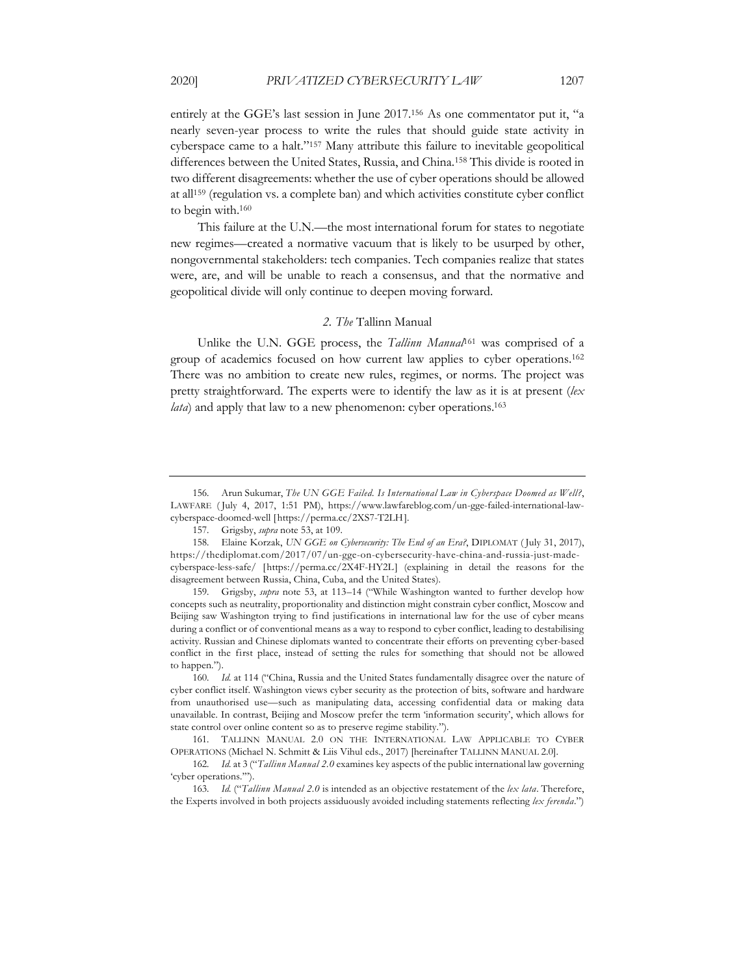entirely at the GGE's last session in June 2017.156 As one commentator put it, "a nearly seven-year process to write the rules that should guide state activity in cyberspace came to a halt."157 Many attribute this failure to inevitable geopolitical differences between the United States, Russia, and China.158 This divide is rooted in two different disagreements: whether the use of cyber operations should be allowed at all159 (regulation vs. a complete ban) and which activities constitute cyber conflict to begin with.160

This failure at the U.N.—the most international forum for states to negotiate new regimes—created a normative vacuum that is likely to be usurped by other, nongovernmental stakeholders: tech companies. Tech companies realize that states were, are, and will be unable to reach a consensus, and that the normative and geopolitical divide will only continue to deepen moving forward.

#### *2. The* Tallinn Manual

Unlike the U.N. GGE process, the *Tallinn Manual*<sup>161</sup> was comprised of a group of academics focused on how current law applies to cyber operations.162 There was no ambition to create new rules, regimes, or norms. The project was pretty straightforward. The experts were to identify the law as it is at present (*lex lata*) and apply that law to a new phenomenon: cyber operations.<sup>163</sup>

163. *Id.* ("*Tallinn Manual 2.0* is intended as an objective restatement of the *lex lata*. Therefore, the Experts involved in both projects assiduously avoided including statements reflecting *lex ferenda*.")

<sup>156.</sup> Arun Sukumar, *The UN GGE Failed. Is International Law in Cyberspace Doomed as Well?*, LAWFARE ( July 4, 2017, 1:51 PM), https://www.lawfareblog.com/un-gge-failed-international-lawcyberspace-doomed-well [https://perma.cc/2XS7-T2LH].

<sup>157.</sup> Grigsby, *supra* note 53, at 109.

<sup>158.</sup> Elaine Korzak, *UN GGE on Cybersecurity: The End of an Era?*, DIPLOMAT ( July 31, 2017), https://thediplomat.com/2017/07/un-gge-on-cybersecurity-have-china-and-russia-just-madecyberspace-less-safe/ [https://perma.cc/2X4F-HY2L] (explaining in detail the reasons for the disagreement between Russia, China, Cuba, and the United States).

<sup>159.</sup> Grigsby, *supra* note 53, at 113–14 ("While Washington wanted to further develop how concepts such as neutrality, proportionality and distinction might constrain cyber conflict, Moscow and Beijing saw Washington trying to find justifications in international law for the use of cyber means during a conflict or of conventional means as a way to respond to cyber conflict, leading to destabilising activity. Russian and Chinese diplomats wanted to concentrate their efforts on preventing cyber-based conflict in the first place, instead of setting the rules for something that should not be allowed to happen.").

<sup>160.</sup> *Id.* at 114 ("China, Russia and the United States fundamentally disagree over the nature of cyber conflict itself. Washington views cyber security as the protection of bits, software and hardware from unauthorised use—such as manipulating data, accessing confidential data or making data unavailable. In contrast, Beijing and Moscow prefer the term 'information security', which allows for state control over online content so as to preserve regime stability.").

<sup>161.</sup> TALLINN MANUAL 2.0 ON THE INTERNATIONAL LAW APPLICABLE TO CYBER OPERATIONS (Michael N. Schmitt & Liis Vihul eds., 2017) [hereinafter TALLINN MANUAL 2.0].

<sup>162.</sup> *Id.* at 3 ("*Tallinn Manual 2.0* examines key aspects of the public international law governing 'cyber operations.'").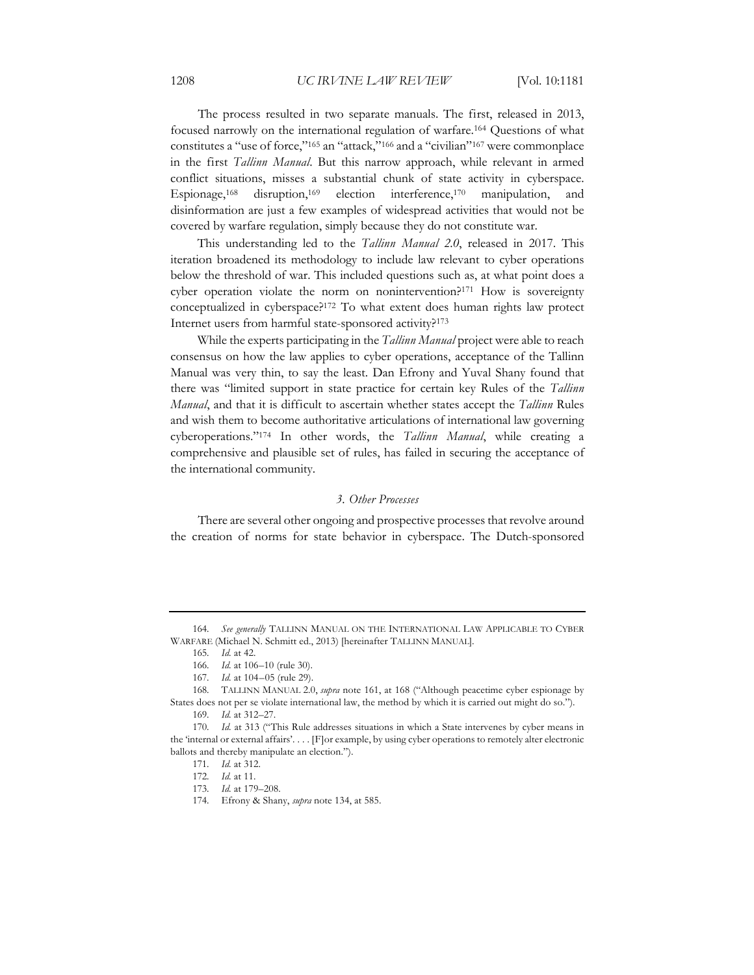The process resulted in two separate manuals. The first, released in 2013, focused narrowly on the international regulation of warfare.164 Questions of what constitutes a "use of force,"165 an "attack,"166 and a "civilian"167 were commonplace in the first *Tallinn Manual*. But this narrow approach, while relevant in armed conflict situations, misses a substantial chunk of state activity in cyberspace. Espionage,<sup>168</sup> disruption,<sup>169</sup> election interference,<sup>170</sup> manipulation, disinformation are just a few examples of widespread activities that would not be covered by warfare regulation, simply because they do not constitute war.

This understanding led to the *Tallinn Manual 2.0*, released in 2017. This iteration broadened its methodology to include law relevant to cyber operations below the threshold of war. This included questions such as, at what point does a cyber operation violate the norm on nonintervention?<sup>171</sup> How is sovereignty conceptualized in cyberspace?172 To what extent does human rights law protect Internet users from harmful state-sponsored activity?173

While the experts participating in the *Tallinn Manual* project were able to reach consensus on how the law applies to cyber operations, acceptance of the Tallinn Manual was very thin, to say the least. Dan Efrony and Yuval Shany found that there was "limited support in state practice for certain key Rules of the *Tallinn Manual*, and that it is difficult to ascertain whether states accept the *Tallinn* Rules and wish them to become authoritative articulations of international law governing cyberoperations."174 In other words, the *Tallinn Manual*, while creating a comprehensive and plausible set of rules, has failed in securing the acceptance of the international community.

#### *3. Other Processes*

There are several other ongoing and prospective processes that revolve around the creation of norms for state behavior in cyberspace. The Dutch-sponsored

<sup>164.</sup> *See generally* TALLINN MANUAL ON THE INTERNATIONAL LAW APPLICABLE TO CYBER WARFARE (Michael N. Schmitt ed., 2013) [hereinafter TALLINN MANUAL].

<sup>165.</sup> *Id.* at 42.

<sup>166.</sup> *Id.* at 106–10 (rule 30).

<sup>167.</sup> *Id.* at 104–05 (rule 29).

<sup>168.</sup> TALLINN MANUAL 2.0, *supra* note 161, at 168 ("Although peacetime cyber espionage by States does not per se violate international law, the method by which it is carried out might do so.").

<sup>169.</sup> *Id.* at 312–27.

<sup>170.</sup> *Id.* at 313 ("This Rule addresses situations in which a State intervenes by cyber means in the 'internal or external affairs'. . . . [F]or example, by using cyber operations to remotely alter electronic ballots and thereby manipulate an election.").

<sup>171.</sup> *Id.* at 312.

<sup>172.</sup> *Id.* at 11.

<sup>173.</sup> *Id.* at 179–208.

<sup>174.</sup> Efrony & Shany, *supra* note 134, at 585.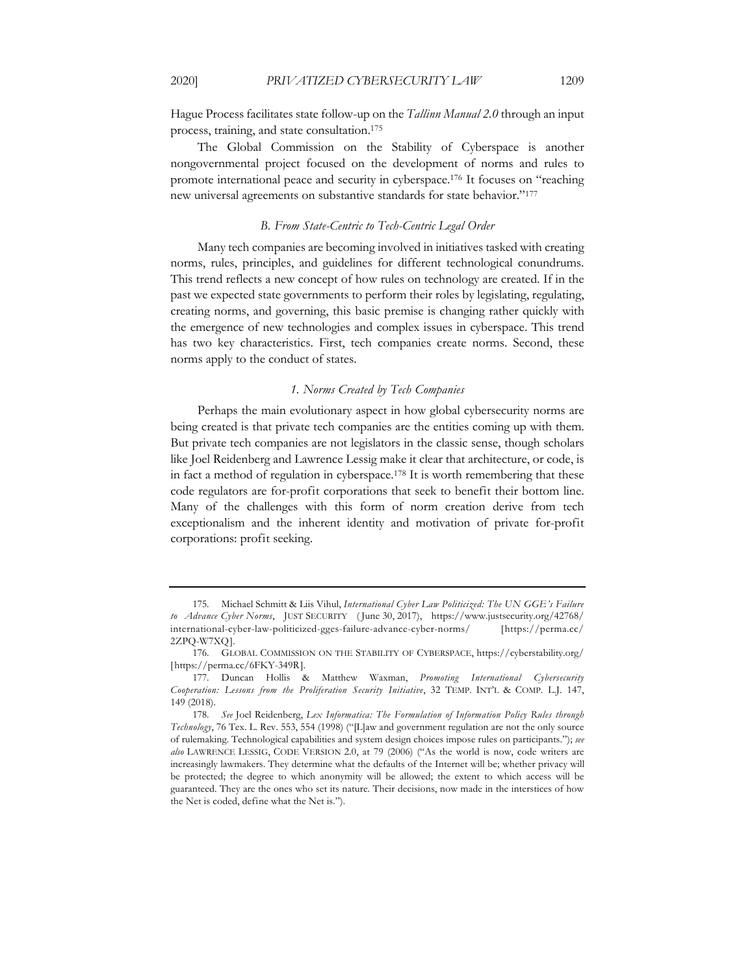Hague Process facilitates state follow-up on the *Tallinn Manual 2.0* through an input process, training, and state consultation.175

The Global Commission on the Stability of Cyberspace is another nongovernmental project focused on the development of norms and rules to promote international peace and security in cyberspace.176 It focuses on "reaching new universal agreements on substantive standards for state behavior."177

#### *B. From State-Centric to Tech-Centric Legal Order*

Many tech companies are becoming involved in initiatives tasked with creating norms, rules, principles, and guidelines for different technological conundrums. This trend reflects a new concept of how rules on technology are created. If in the past we expected state governments to perform their roles by legislating, regulating, creating norms, and governing, this basic premise is changing rather quickly with the emergence of new technologies and complex issues in cyberspace. This trend has two key characteristics. First, tech companies create norms. Second, these norms apply to the conduct of states.

#### *1. Norms Created by Tech Companies*

Perhaps the main evolutionary aspect in how global cybersecurity norms are being created is that private tech companies are the entities coming up with them. But private tech companies are not legislators in the classic sense, though scholars like Joel Reidenberg and Lawrence Lessig make it clear that architecture, or code, is in fact a method of regulation in cyberspace. <sup>178</sup> It is worth remembering that these code regulators are for-profit corporations that seek to benefit their bottom line. Many of the challenges with this form of norm creation derive from tech exceptionalism and the inherent identity and motivation of private for-profit corporations: profit seeking.

<sup>175.</sup> Michael Schmitt & Liis Vihul, *International Cyber Law Politicized: The UN GGE's Failure to Advance Cyber Norms*, JUST SECURITY ( June 30, 2017), https://www.justsecurity.org/42768/ international-cyber-law-politicized-gges-failure-advance-cyber-norms/ [https://perma.cc/ 2ZPQ-W7XQ].

<sup>176.</sup> GLOBAL COMMISSION ON THE STABILITY OF CYBERSPACE, https://cyberstability.org/ [https://perma.cc/6FKY-349R].

<sup>177.</sup> Duncan Hollis & Matthew Waxman, *Promoting International Cybersecurity Cooperation: Lessons from the Proliferation Security Initiative*, 32 TEMP. INT'L & COMP. L.J. 147, 149 (2018).

<sup>178.</sup> *See* Joel Reidenberg, *Lex Informatica: The Formulation of Information Policy Rules through Technology*, 76 Tex. L. Rev. 553, 554 (1998) ("[L]aw and government regulation are not the only source of rulemaking. Technological capabilities and system design choices impose rules on participants."); *see also* LAWRENCE LESSIG, CODE VERSION 2.0, at 79 (2006) ("As the world is now, code writers are increasingly lawmakers. They determine what the defaults of the Internet will be; whether privacy will be protected; the degree to which anonymity will be allowed; the extent to which access will be guaranteed. They are the ones who set its nature. Their decisions, now made in the interstices of how the Net is coded, define what the Net is.").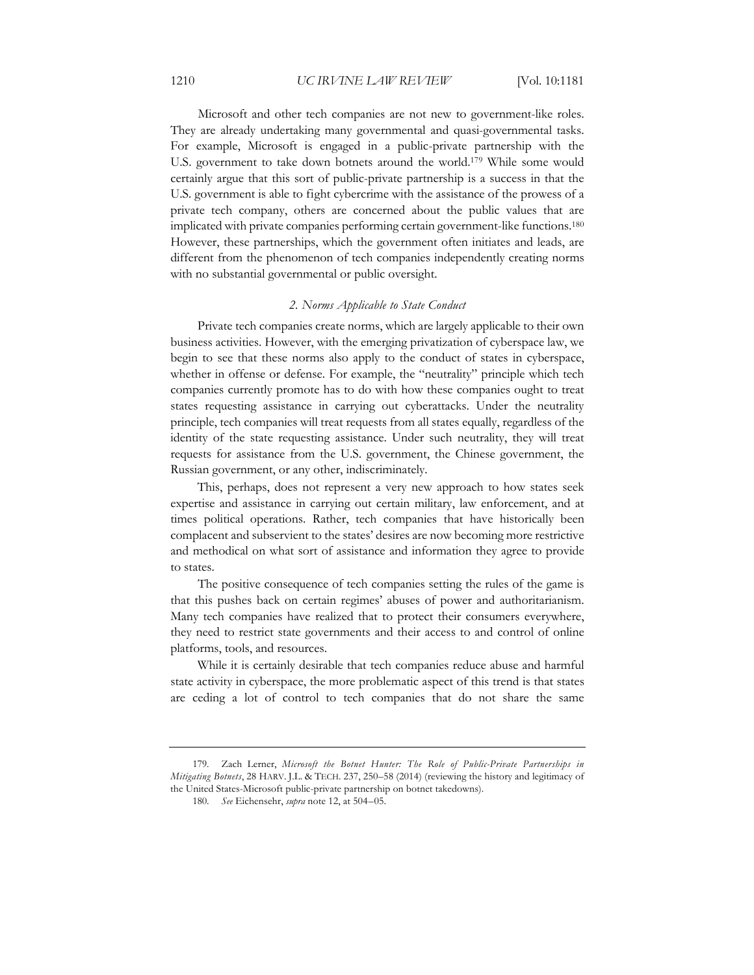Microsoft and other tech companies are not new to government-like roles. They are already undertaking many governmental and quasi-governmental tasks. For example, Microsoft is engaged in a public-private partnership with the U.S. government to take down botnets around the world.179 While some would certainly argue that this sort of public-private partnership is a success in that the U.S. government is able to fight cybercrime with the assistance of the prowess of a private tech company, others are concerned about the public values that are implicated with private companies performing certain government-like functions.180 However, these partnerships, which the government often initiates and leads, are different from the phenomenon of tech companies independently creating norms with no substantial governmental or public oversight.

#### *2. Norms Applicable to State Conduct*

Private tech companies create norms, which are largely applicable to their own business activities. However, with the emerging privatization of cyberspace law, we begin to see that these norms also apply to the conduct of states in cyberspace, whether in offense or defense. For example, the "neutrality" principle which tech companies currently promote has to do with how these companies ought to treat states requesting assistance in carrying out cyberattacks. Under the neutrality principle, tech companies will treat requests from all states equally, regardless of the identity of the state requesting assistance. Under such neutrality, they will treat requests for assistance from the U.S. government, the Chinese government, the Russian government, or any other, indiscriminately.

This, perhaps, does not represent a very new approach to how states seek expertise and assistance in carrying out certain military, law enforcement, and at times political operations. Rather, tech companies that have historically been complacent and subservient to the states' desires are now becoming more restrictive and methodical on what sort of assistance and information they agree to provide to states.

The positive consequence of tech companies setting the rules of the game is that this pushes back on certain regimes' abuses of power and authoritarianism. Many tech companies have realized that to protect their consumers everywhere, they need to restrict state governments and their access to and control of online platforms, tools, and resources.

While it is certainly desirable that tech companies reduce abuse and harmful state activity in cyberspace, the more problematic aspect of this trend is that states are ceding a lot of control to tech companies that do not share the same

<sup>179.</sup> Zach Lerner, *Microsoft the Botnet Hunter: The Role of Public-Private Partnerships in Mitigating Botnets*, 28 HARV. J.L. & TECH. 237, 250–58 (2014) (reviewing the history and legitimacy of the United States-Microsoft public-private partnership on botnet takedowns).

<sup>180.</sup> *See* Eichensehr, *supra* note 12, at 504–05.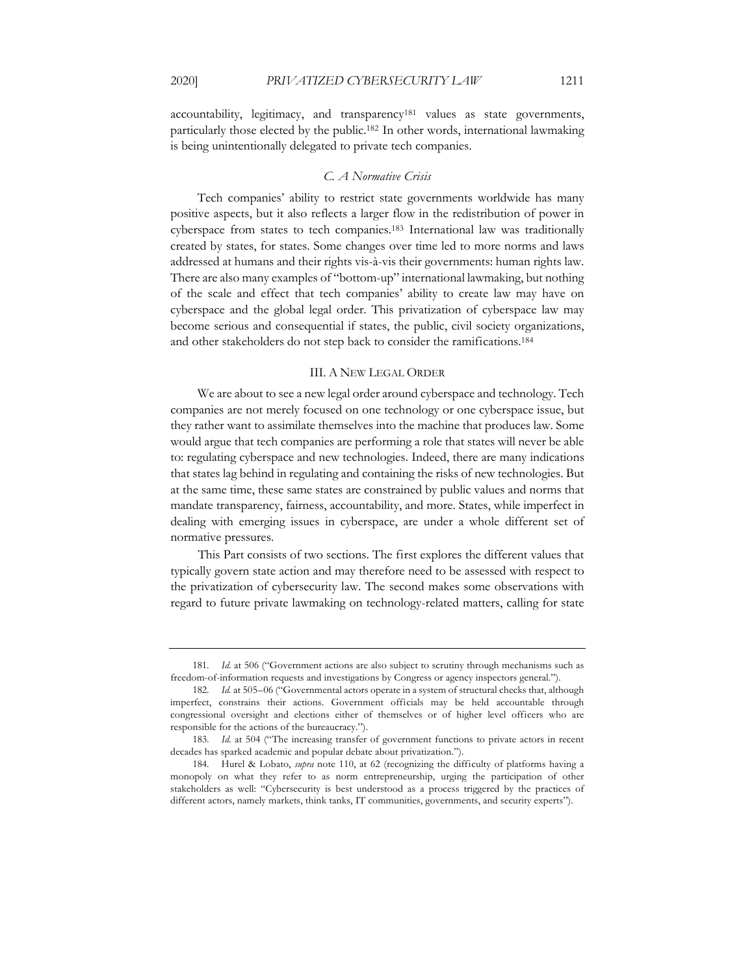accountability, legitimacy, and transparency181 values as state governments, particularly those elected by the public.182 In other words, international lawmaking is being unintentionally delegated to private tech companies.

#### *C. A Normative Crisis*

Tech companies' ability to restrict state governments worldwide has many positive aspects, but it also reflects a larger flow in the redistribution of power in cyberspace from states to tech companies.183 International law was traditionally created by states, for states. Some changes over time led to more norms and laws addressed at humans and their rights vis-à-vis their governments: human rights law. There are also many examples of "bottom-up" international lawmaking, but nothing of the scale and effect that tech companies' ability to create law may have on cyberspace and the global legal order. This privatization of cyberspace law may become serious and consequential if states, the public, civil society organizations, and other stakeholders do not step back to consider the ramifications.184

#### III. A NEW LEGAL ORDER

We are about to see a new legal order around cyberspace and technology. Tech companies are not merely focused on one technology or one cyberspace issue, but they rather want to assimilate themselves into the machine that produces law. Some would argue that tech companies are performing a role that states will never be able to: regulating cyberspace and new technologies. Indeed, there are many indications that states lag behind in regulating and containing the risks of new technologies. But at the same time, these same states are constrained by public values and norms that mandate transparency, fairness, accountability, and more. States, while imperfect in dealing with emerging issues in cyberspace, are under a whole different set of normative pressures.

This Part consists of two sections. The first explores the different values that typically govern state action and may therefore need to be assessed with respect to the privatization of cybersecurity law. The second makes some observations with regard to future private lawmaking on technology-related matters, calling for state

<sup>181.</sup> *Id.* at 506 ("Government actions are also subject to scrutiny through mechanisms such as freedom-of-information requests and investigations by Congress or agency inspectors general.").

<sup>182.</sup> *Id.* at 505–06 ("Governmental actors operate in a system of structural checks that, although imperfect, constrains their actions. Government officials may be held accountable through congressional oversight and elections either of themselves or of higher level officers who are responsible for the actions of the bureaucracy.").

<sup>183.</sup> *Id.* at 504 ("The increasing transfer of government functions to private actors in recent decades has sparked academic and popular debate about privatization.").

<sup>184.</sup> Hurel & Lobato, *supra* note 110, at 62 (recognizing the difficulty of platforms having a monopoly on what they refer to as norm entrepreneurship, urging the participation of other stakeholders as well: "Cybersecurity is best understood as a process triggered by the practices of different actors, namely markets, think tanks, IT communities, governments, and security experts").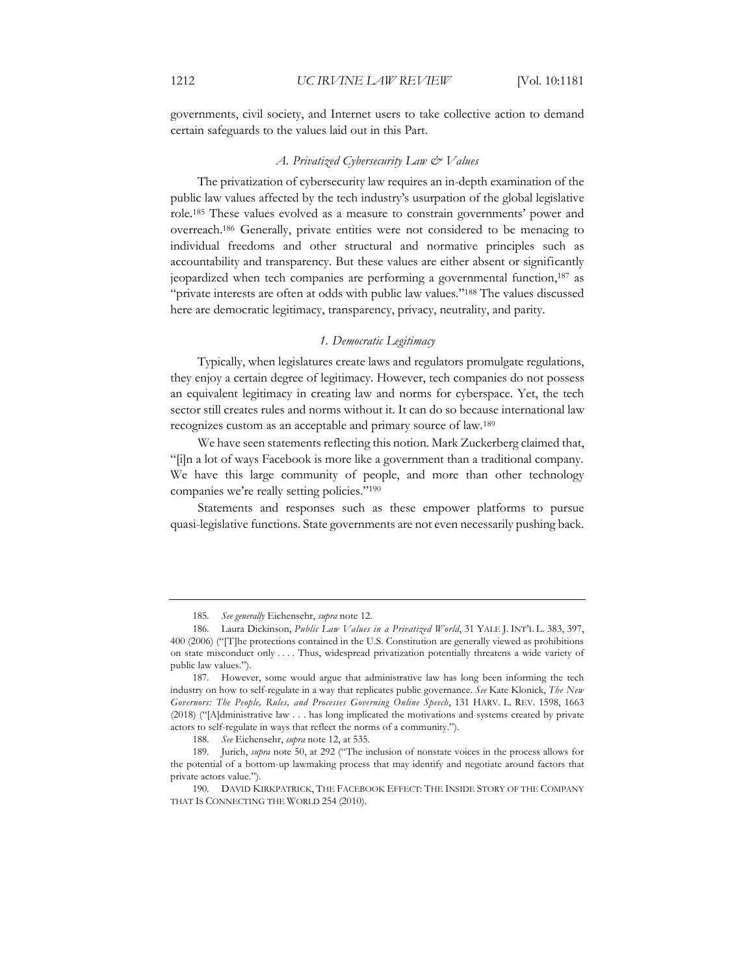governments, civil society, and Internet users to take collective action to demand certain safeguards to the values laid out in this Part.

#### *A. Privatized Cybersecurity Law & Values*

The privatization of cybersecurity law requires an in-depth examination of the public law values affected by the tech industry's usurpation of the global legislative role.185 These values evolved as a measure to constrain governments' power and overreach.186 Generally, private entities were not considered to be menacing to individual freedoms and other structural and normative principles such as accountability and transparency. But these values are either absent or significantly jeopardized when tech companies are performing a governmental function,187 as "private interests are often at odds with public law values."<sup>188</sup> The values discussed here are democratic legitimacy, transparency, privacy, neutrality, and parity.

#### *1. Democratic Legitimacy*

Typically, when legislatures create laws and regulators promulgate regulations, they enjoy a certain degree of legitimacy. However, tech companies do not possess an equivalent legitimacy in creating law and norms for cyberspace. Yet, the tech sector still creates rules and norms without it. It can do so because international law recognizes custom as an acceptable and primary source of law.189

We have seen statements reflecting this notion. Mark Zuckerberg claimed that, "[i]n a lot of ways Facebook is more like a government than a traditional company. We have this large community of people, and more than other technology companies we're really setting policies."190

Statements and responses such as these empower platforms to pursue quasi-legislative functions. State governments are not even necessarily pushing back.

<sup>185.</sup> *See generally* Eichensehr, *supra* note 12.

<sup>186.</sup> Laura Dickinson, *Public Law Values in a Privatized World*, 31 YALE J. INT'L L. 383, 397, 400 (2006) ("[T]he protections contained in the U.S. Constitution are generally viewed as prohibitions on state misconduct only . . . . Thus, widespread privatization potentially threatens a wide variety of public law values.").

<sup>187.</sup> However, some would argue that administrative law has long been informing the tech industry on how to self-regulate in a way that replicates public governance. *See* Kate Klonick, *The New Governors: The People, Rules, and Processes Governing Online Speech*, 131 HARV. L. REV. 1598, 1663 (2018) ("[A]dministrative law . . . has long implicated the motivations and systems created by private actors to self-regulate in ways that reflect the norms of a community.").

<sup>188.</sup> *See* Eichensehr, *supra* note 12, at 535.

<sup>189.</sup> Jurich, *supra* note 50, at 292 ("The inclusion of nonstate voices in the process allows for the potential of a bottom-up lawmaking process that may identify and negotiate around factors that private actors value.").

<sup>190.</sup> DAVID KIRKPATRICK, THE FACEBOOK EFFECT: THE INSIDE STORY OF THE COMPANY THAT IS CONNECTING THE WORLD 254 (2010).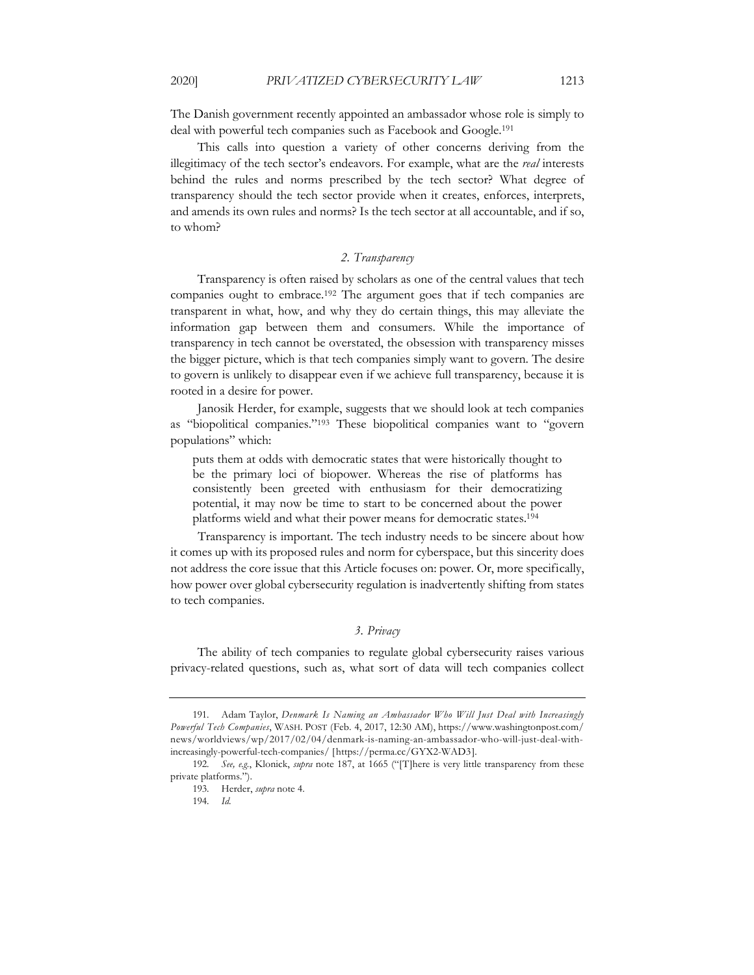The Danish government recently appointed an ambassador whose role is simply to deal with powerful tech companies such as Facebook and Google.191

This calls into question a variety of other concerns deriving from the illegitimacy of the tech sector's endeavors. For example, what are the *real* interests behind the rules and norms prescribed by the tech sector? What degree of transparency should the tech sector provide when it creates, enforces, interprets, and amends its own rules and norms? Is the tech sector at all accountable, and if so, to whom?

#### *2. Transparency*

Transparency is often raised by scholars as one of the central values that tech companies ought to embrace.192 The argument goes that if tech companies are transparent in what, how, and why they do certain things, this may alleviate the information gap between them and consumers. While the importance of transparency in tech cannot be overstated, the obsession with transparency misses the bigger picture, which is that tech companies simply want to govern. The desire to govern is unlikely to disappear even if we achieve full transparency, because it is rooted in a desire for power.

Janosik Herder, for example, suggests that we should look at tech companies as "biopolitical companies."193 These biopolitical companies want to "govern populations" which:

puts them at odds with democratic states that were historically thought to be the primary loci of biopower. Whereas the rise of platforms has consistently been greeted with enthusiasm for their democratizing potential, it may now be time to start to be concerned about the power platforms wield and what their power means for democratic states.194

Transparency is important. The tech industry needs to be sincere about how it comes up with its proposed rules and norm for cyberspace, but this sincerity does not address the core issue that this Article focuses on: power. Or, more specifically, how power over global cybersecurity regulation is inadvertently shifting from states to tech companies.

## *3. Privacy*

The ability of tech companies to regulate global cybersecurity raises various privacy-related questions, such as, what sort of data will tech companies collect

<sup>191.</sup> Adam Taylor, *Denmark Is Naming an Ambassador Who Will Just Deal with Increasingly Powerful Tech Companies*, WASH. POST (Feb. 4, 2017, 12:30 AM), https://www.washingtonpost.com/ news/worldviews/wp/2017/02/04/denmark-is-naming-an-ambassador-who-will-just-deal-withincreasingly-powerful-tech-companies/ [https://perma.cc/GYX2-WAD3].

<sup>192.</sup> *See, e.g.*, Klonick, *supra* note 187, at 1665 ("[T]here is very little transparency from these private platforms.").

<sup>193.</sup> Herder, *supra* note 4.

<sup>194.</sup> *Id.*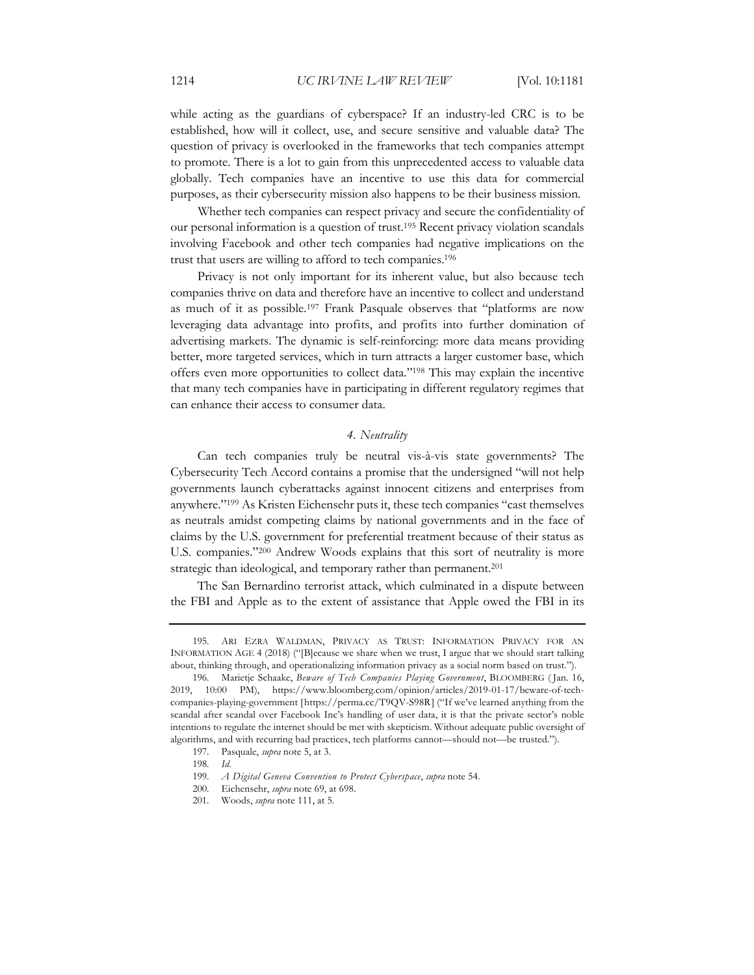while acting as the guardians of cyberspace? If an industry-led CRC is to be established, how will it collect, use, and secure sensitive and valuable data? The question of privacy is overlooked in the frameworks that tech companies attempt to promote. There is a lot to gain from this unprecedented access to valuable data globally. Tech companies have an incentive to use this data for commercial purposes, as their cybersecurity mission also happens to be their business mission.

Whether tech companies can respect privacy and secure the confidentiality of our personal information is a question of trust.195 Recent privacy violation scandals involving Facebook and other tech companies had negative implications on the trust that users are willing to afford to tech companies.196

Privacy is not only important for its inherent value, but also because tech companies thrive on data and therefore have an incentive to collect and understand as much of it as possible.197 Frank Pasquale observes that "platforms are now leveraging data advantage into profits, and profits into further domination of advertising markets. The dynamic is self-reinforcing: more data means providing better, more targeted services, which in turn attracts a larger customer base, which offers even more opportunities to collect data."198 This may explain the incentive that many tech companies have in participating in different regulatory regimes that can enhance their access to consumer data.

#### *4. Neutrality*

Can tech companies truly be neutral vis-à-vis state governments? The Cybersecurity Tech Accord contains a promise that the undersigned "will not help governments launch cyberattacks against innocent citizens and enterprises from anywhere."199 As Kristen Eichensehr puts it, these tech companies "cast themselves as neutrals amidst competing claims by national governments and in the face of claims by the U.S. government for preferential treatment because of their status as U.S. companies."200 Andrew Woods explains that this sort of neutrality is more strategic than ideological, and temporary rather than permanent.<sup>201</sup>

The San Bernardino terrorist attack, which culminated in a dispute between the FBI and Apple as to the extent of assistance that Apple owed the FBI in its

<sup>195.</sup> ARI EZRA WALDMAN, PRIVACY AS TRUST: INFORMATION PRIVACY FOR AN INFORMATION AGE 4 (2018) ("[B]ecause we share when we trust, I argue that we should start talking about, thinking through, and operationalizing information privacy as a social norm based on trust.").

<sup>196.</sup> Marietje Schaake, *Beware of Tech Companies Playing Government*, BLOOMBERG ( Jan. 16, 2019, 10:00 PM), https://www.bloomberg.com/opinion/articles/2019-01-17/beware-of-techcompanies-playing-government [https://perma.cc/T9QV-S98R] ("If we've learned anything from the scandal after scandal over Facebook Inc's handling of user data, it is that the private sector's noble intentions to regulate the internet should be met with skepticism. Without adequate public oversight of algorithms, and with recurring bad practices, tech platforms cannot—should not—be trusted.").

<sup>197.</sup> Pasquale, *supra* note 5, at 3.

<sup>198.</sup> *Id.*

<sup>199.</sup> *A Digital Geneva Convention to Protect Cyberspace*, *supra* note 54.

<sup>200.</sup> Eichensehr, *supra* note 69, at 698.

<sup>201.</sup> Woods, *supra* note 111, at 5.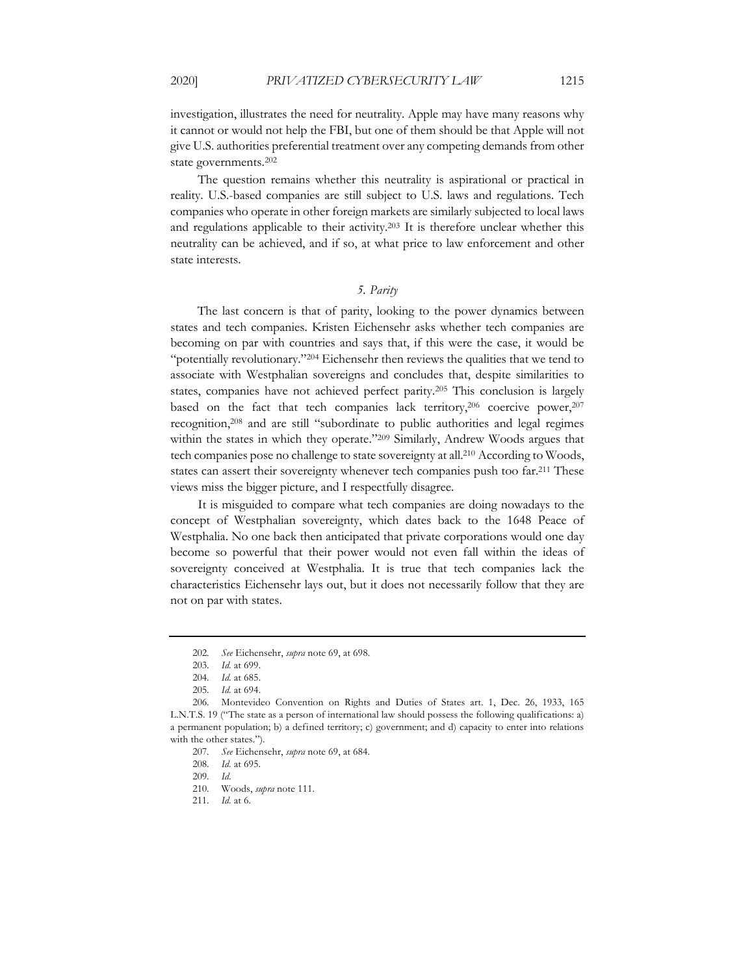investigation, illustrates the need for neutrality. Apple may have many reasons why it cannot or would not help the FBI, but one of them should be that Apple will not give U.S. authorities preferential treatment over any competing demands from other state governments.202

The question remains whether this neutrality is aspirational or practical in reality. U.S.-based companies are still subject to U.S. laws and regulations. Tech companies who operate in other foreign markets are similarly subjected to local laws and regulations applicable to their activity.203 It is therefore unclear whether this neutrality can be achieved, and if so, at what price to law enforcement and other state interests.

#### *5. Parity*

The last concern is that of parity, looking to the power dynamics between states and tech companies. Kristen Eichensehr asks whether tech companies are becoming on par with countries and says that, if this were the case, it would be "potentially revolutionary."204 Eichensehr then reviews the qualities that we tend to associate with Westphalian sovereigns and concludes that, despite similarities to states, companies have not achieved perfect parity.205 This conclusion is largely based on the fact that tech companies lack territory,<sup>206</sup> coercive power,<sup>207</sup> recognition,208 and are still "subordinate to public authorities and legal regimes within the states in which they operate."<sup>209</sup> Similarly, Andrew Woods argues that tech companies pose no challenge to state sovereignty at all.210 According to Woods, states can assert their sovereignty whenever tech companies push too far.<sup>211</sup> These views miss the bigger picture, and I respectfully disagree.

It is misguided to compare what tech companies are doing nowadays to the concept of Westphalian sovereignty, which dates back to the 1648 Peace of Westphalia. No one back then anticipated that private corporations would one day become so powerful that their power would not even fall within the ideas of sovereignty conceived at Westphalia. It is true that tech companies lack the characteristics Eichensehr lays out, but it does not necessarily follow that they are not on par with states.

<sup>202.</sup> *See* Eichensehr, *supra* note 69, at 698.

<sup>203.</sup> *Id.* at 699.

<sup>204.</sup> *Id.* at 685.

<sup>205.</sup> *Id.* at 694.

<sup>206.</sup> Montevideo Convention on Rights and Duties of States art. 1, Dec. 26, 1933, 165 L.N.T.S. 19 ("The state as a person of international law should possess the following qualifications: a) a permanent population; b) a defined territory; c) government; and d) capacity to enter into relations with the other states.").

<sup>207.</sup> *See* Eichensehr, *supra* note 69, at 684.

<sup>208.</sup> *Id.* at 695.

<sup>209.</sup> *Id.*

<sup>210.</sup> Woods, *supra* note 111.

<sup>211.</sup> *Id.* at 6.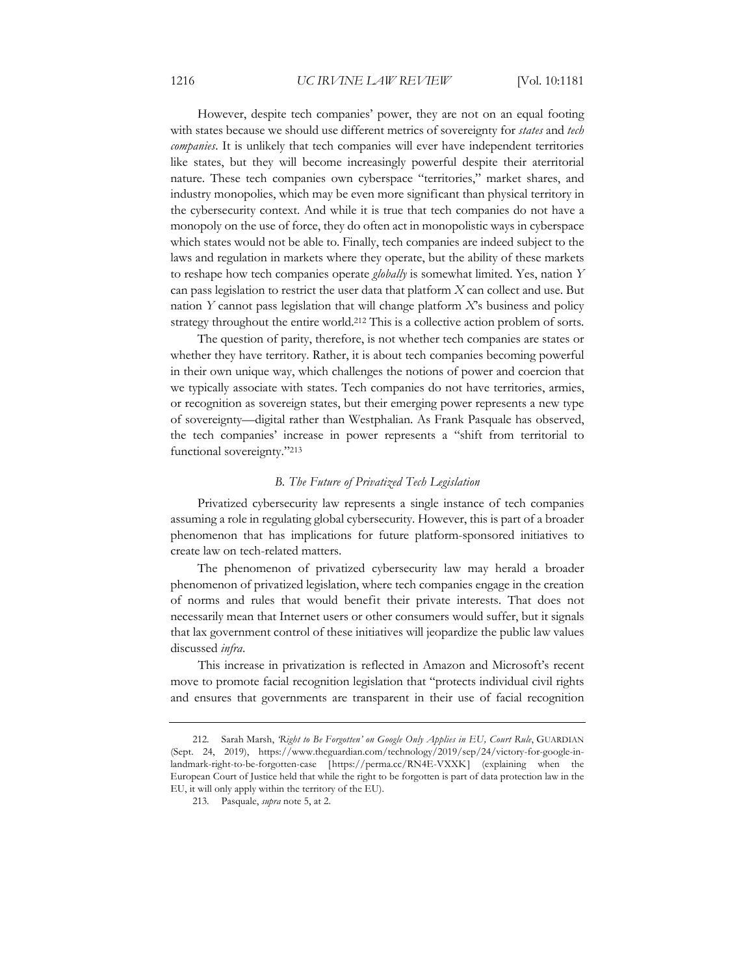However, despite tech companies' power, they are not on an equal footing with states because we should use different metrics of sovereignty for *states* and *tech companies*. It is unlikely that tech companies will ever have independent territories like states, but they will become increasingly powerful despite their aterritorial nature. These tech companies own cyberspace "territories," market shares, and industry monopolies, which may be even more significant than physical territory in the cybersecurity context. And while it is true that tech companies do not have a monopoly on the use of force, they do often act in monopolistic ways in cyberspace which states would not be able to. Finally, tech companies are indeed subject to the laws and regulation in markets where they operate, but the ability of these markets to reshape how tech companies operate *globally* is somewhat limited. Yes, nation *Y* can pass legislation to restrict the user data that platform *X* can collect and use. But nation *Y* cannot pass legislation that will change platform *X*'s business and policy strategy throughout the entire world.<sup>212</sup> This is a collective action problem of sorts.

The question of parity, therefore, is not whether tech companies are states or whether they have territory. Rather, it is about tech companies becoming powerful in their own unique way, which challenges the notions of power and coercion that we typically associate with states. Tech companies do not have territories, armies, or recognition as sovereign states, but their emerging power represents a new type of sovereignty—digital rather than Westphalian. As Frank Pasquale has observed, the tech companies' increase in power represents a "shift from territorial to functional sovereignty."213

#### *B. The Future of Privatized Tech Legislation*

Privatized cybersecurity law represents a single instance of tech companies assuming a role in regulating global cybersecurity. However, this is part of a broader phenomenon that has implications for future platform-sponsored initiatives to create law on tech-related matters.

The phenomenon of privatized cybersecurity law may herald a broader phenomenon of privatized legislation, where tech companies engage in the creation of norms and rules that would benefit their private interests. That does not necessarily mean that Internet users or other consumers would suffer, but it signals that lax government control of these initiatives will jeopardize the public law values discussed *infra*.

This increase in privatization is reflected in Amazon and Microsoft's recent move to promote facial recognition legislation that "protects individual civil rights and ensures that governments are transparent in their use of facial recognition

<sup>212.</sup> Sarah Marsh, *'Right to Be Forgotten' on Google Only Applies in EU, Court Rule*, GUARDIAN (Sept. 24, 2019), https://www.theguardian.com/technology/2019/sep/24/victory-for-google-inlandmark-right-to-be-forgotten-case [https://perma.cc/RN4E-VXXK] (explaining when the European Court of Justice held that while the right to be forgotten is part of data protection law in the EU, it will only apply within the territory of the EU).

<sup>213.</sup> Pasquale, *supra* note 5, at 2.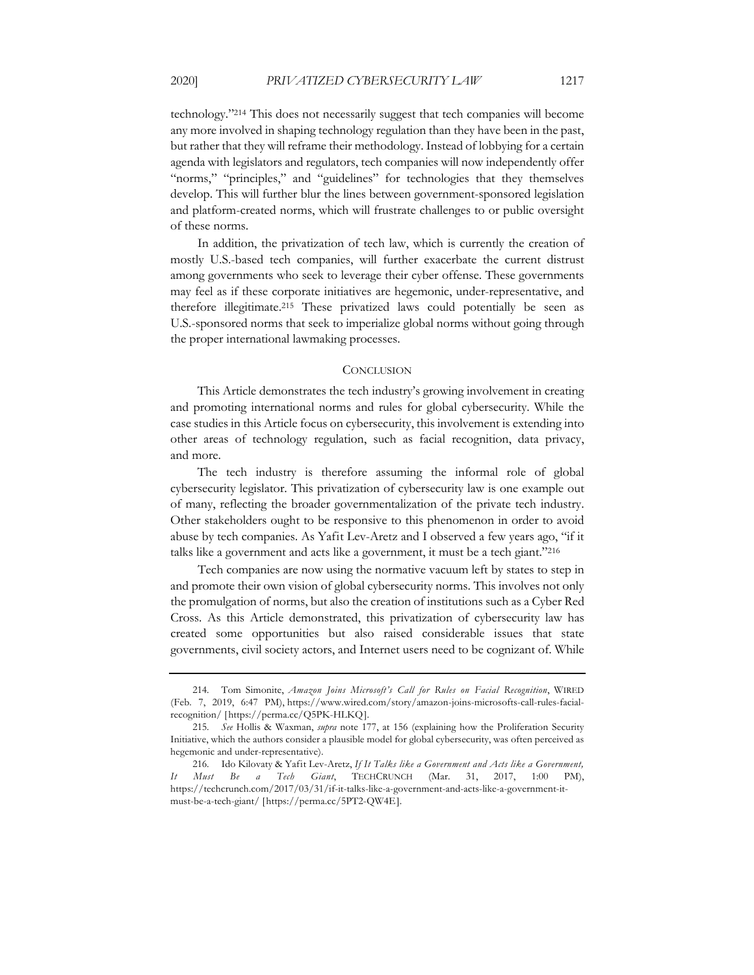technology."214 This does not necessarily suggest that tech companies will become any more involved in shaping technology regulation than they have been in the past, but rather that they will reframe their methodology. Instead of lobbying for a certain agenda with legislators and regulators, tech companies will now independently offer "norms," "principles," and "guidelines" for technologies that they themselves develop. This will further blur the lines between government-sponsored legislation and platform-created norms, which will frustrate challenges to or public oversight of these norms.

In addition, the privatization of tech law, which is currently the creation of mostly U.S.-based tech companies, will further exacerbate the current distrust among governments who seek to leverage their cyber offense. These governments may feel as if these corporate initiatives are hegemonic, under-representative, and therefore illegitimate.215 These privatized laws could potentially be seen as U.S.-sponsored norms that seek to imperialize global norms without going through the proper international lawmaking processes.

#### **CONCLUSION**

This Article demonstrates the tech industry's growing involvement in creating and promoting international norms and rules for global cybersecurity. While the case studies in this Article focus on cybersecurity, this involvement is extending into other areas of technology regulation, such as facial recognition, data privacy, and more.

The tech industry is therefore assuming the informal role of global cybersecurity legislator. This privatization of cybersecurity law is one example out of many, reflecting the broader governmentalization of the private tech industry. Other stakeholders ought to be responsive to this phenomenon in order to avoid abuse by tech companies. As Yafit Lev-Aretz and I observed a few years ago, "if it talks like a government and acts like a government, it must be a tech giant."216

Tech companies are now using the normative vacuum left by states to step in and promote their own vision of global cybersecurity norms. This involves not only the promulgation of norms, but also the creation of institutions such as a Cyber Red Cross. As this Article demonstrated, this privatization of cybersecurity law has created some opportunities but also raised considerable issues that state governments, civil society actors, and Internet users need to be cognizant of. While

<sup>214.</sup> Tom Simonite, *Amazon Joins Microsoft's Call for Rules on Facial Recognition*, WIRED (Feb. 7, 2019, 6:47 PM), https://www.wired.com/story/amazon-joins-microsofts-call-rules-facialrecognition/ [https://perma.cc/Q5PK-HLKQ].

<sup>215.</sup> *See* Hollis & Waxman, *supra* note 177, at 156 (explaining how the Proliferation Security Initiative, which the authors consider a plausible model for global cybersecurity, was often perceived as hegemonic and under-representative).

<sup>216.</sup> Ido Kilovaty & Yafit Lev-Aretz, *If It Talks like a Government and Acts like a Government, It Must Be a Tech Giant*, TECHCRUNCH (Mar. 31, 2017, 1:00 PM), https://techcrunch.com/2017/03/31/if-it-talks-like-a-government-and-acts-like-a-government-itmust-be-a-tech-giant/ [https://perma.cc/5PT2-QW4E].